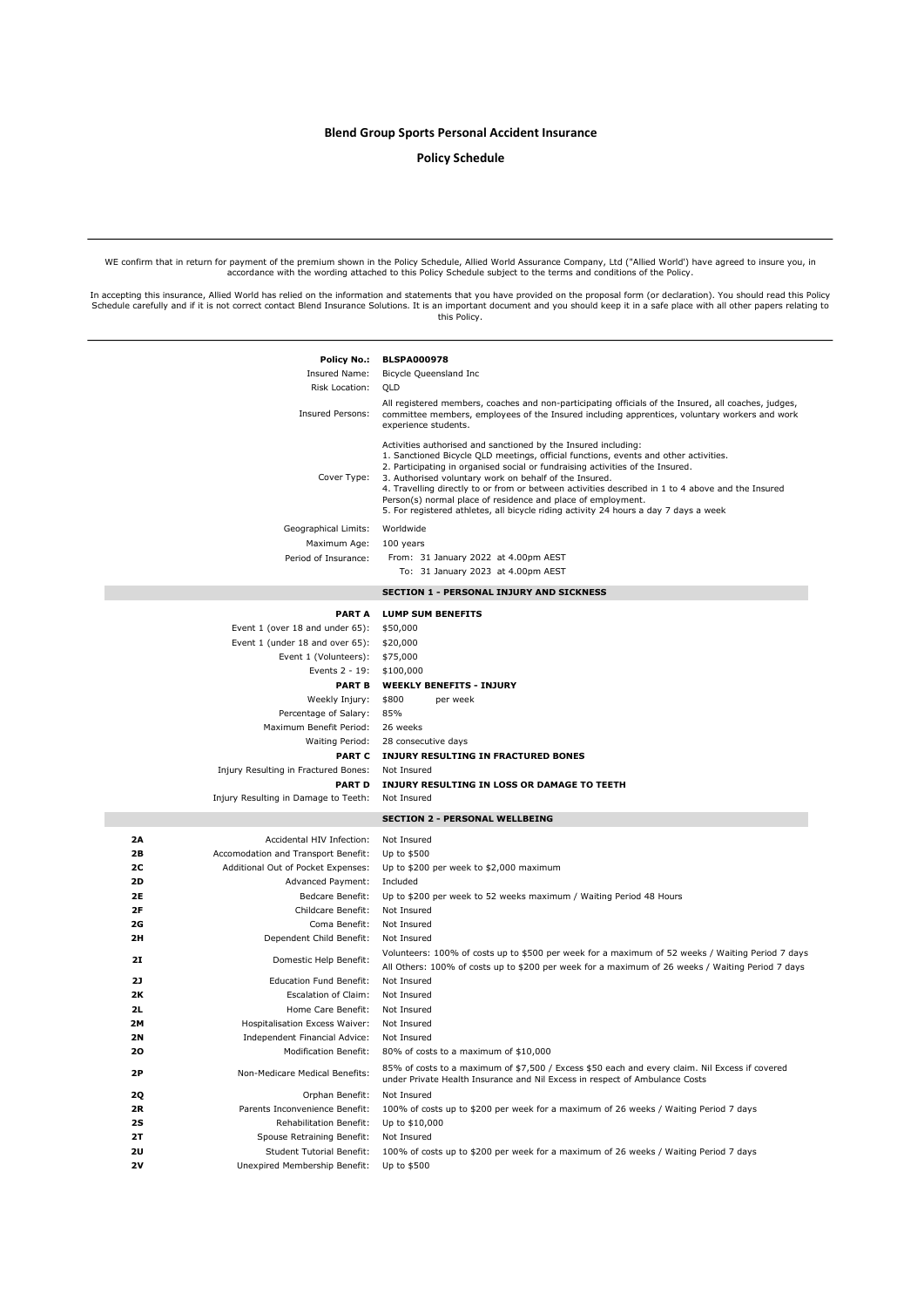# Blend Group Sports Personal Accident Insurance

# Policy Schedule

WE confirm that in return for payment of the premium shown in the Policy Schedule, Allied World Assurance Company, Ltd ("Allied World') have agreed to insure you, in<br>accordance with the wording attached to this Policy Sche

In accepting this insurance, Allied World has relied on the information and statements that you have provided on the proposal form (or declaration). You should read this Policy<br>Schedule carefully and if it is not correct c

|           | <b>Policy No.:</b><br>Insured Name:                       | <b>BLSPA000978</b><br>Bicycle Queensland Inc                                                                                                                                                                                                                                                                                                                                                                                                                                                                                                                    |
|-----------|-----------------------------------------------------------|-----------------------------------------------------------------------------------------------------------------------------------------------------------------------------------------------------------------------------------------------------------------------------------------------------------------------------------------------------------------------------------------------------------------------------------------------------------------------------------------------------------------------------------------------------------------|
|           | Risk Location:<br>Insured Persons:                        | QLD<br>All registered members, coaches and non-participating officials of the Insured, all coaches, judges,<br>committee members, employees of the Insured including apprentices, voluntary workers and work<br>experience students.                                                                                                                                                                                                                                                                                                                            |
|           | Cover Type:                                               | Activities authorised and sanctioned by the Insured including:<br>1. Sanctioned Bicycle QLD meetings, official functions, events and other activities.<br>2. Participating in organised social or fundraising activities of the Insured.<br>3. Authorised voluntary work on behalf of the Insured.<br>4. Travelling directly to or from or between activities described in 1 to 4 above and the Insured<br>Person(s) normal place of residence and place of employment.<br>5. For registered athletes, all bicycle riding activity 24 hours a day 7 days a week |
|           | Geographical Limits:                                      | Worldwide                                                                                                                                                                                                                                                                                                                                                                                                                                                                                                                                                       |
|           | Maximum Age:                                              | 100 years                                                                                                                                                                                                                                                                                                                                                                                                                                                                                                                                                       |
|           | Period of Insurance:                                      | From: 31 January 2022 at 4.00pm AEST                                                                                                                                                                                                                                                                                                                                                                                                                                                                                                                            |
|           |                                                           | To: 31 January 2023 at 4.00pm AEST                                                                                                                                                                                                                                                                                                                                                                                                                                                                                                                              |
|           |                                                           | <b>SECTION 1 - PERSONAL INJURY AND SICKNESS</b>                                                                                                                                                                                                                                                                                                                                                                                                                                                                                                                 |
|           | <b>PART A</b>                                             | <b>LUMP SUM BENEFITS</b>                                                                                                                                                                                                                                                                                                                                                                                                                                                                                                                                        |
|           | Event 1 (over 18 and under 65):                           | \$50,000                                                                                                                                                                                                                                                                                                                                                                                                                                                                                                                                                        |
|           | Event 1 (under 18 and over 65):                           | \$20,000                                                                                                                                                                                                                                                                                                                                                                                                                                                                                                                                                        |
|           | Event 1 (Volunteers):                                     | \$75,000                                                                                                                                                                                                                                                                                                                                                                                                                                                                                                                                                        |
|           | Events 2 - 19:                                            | \$100,000                                                                                                                                                                                                                                                                                                                                                                                                                                                                                                                                                       |
|           | <b>PART B</b>                                             | <b>WEEKLY BENEFITS - INJURY</b>                                                                                                                                                                                                                                                                                                                                                                                                                                                                                                                                 |
|           | Weekly Injury:<br>Percentage of Salary:                   | \$800<br>per week<br>85%                                                                                                                                                                                                                                                                                                                                                                                                                                                                                                                                        |
|           | Maximum Benefit Period:                                   | 26 weeks                                                                                                                                                                                                                                                                                                                                                                                                                                                                                                                                                        |
|           | Waiting Period:                                           | 28 consecutive days                                                                                                                                                                                                                                                                                                                                                                                                                                                                                                                                             |
|           | <b>PART C</b>                                             | INJURY RESULTING IN FRACTURED BONES                                                                                                                                                                                                                                                                                                                                                                                                                                                                                                                             |
|           | Injury Resulting in Fractured Bones:                      | Not Insured                                                                                                                                                                                                                                                                                                                                                                                                                                                                                                                                                     |
|           | <b>PART D</b>                                             | INJURY RESULTING IN LOSS OR DAMAGE TO TEETH                                                                                                                                                                                                                                                                                                                                                                                                                                                                                                                     |
|           | Injury Resulting in Damage to Teeth:                      | Not Insured                                                                                                                                                                                                                                                                                                                                                                                                                                                                                                                                                     |
|           |                                                           | <b>SECTION 2 - PERSONAL WELLBEING</b>                                                                                                                                                                                                                                                                                                                                                                                                                                                                                                                           |
| 2Α        | Accidental HIV Infection:                                 | Not Insured                                                                                                                                                                                                                                                                                                                                                                                                                                                                                                                                                     |
| 2В        | Accomodation and Transport Benefit:                       | Up to \$500                                                                                                                                                                                                                                                                                                                                                                                                                                                                                                                                                     |
| 2C        | Additional Out of Pocket Expenses:                        | Up to \$200 per week to \$2,000 maximum                                                                                                                                                                                                                                                                                                                                                                                                                                                                                                                         |
| <b>2D</b> | Advanced Payment:                                         | Included                                                                                                                                                                                                                                                                                                                                                                                                                                                                                                                                                        |
| 2E        | Bedcare Benefit:                                          | Up to \$200 per week to 52 weeks maximum / Waiting Period 48 Hours                                                                                                                                                                                                                                                                                                                                                                                                                                                                                              |
| 2F        | Childcare Benefit:                                        | Not Insured                                                                                                                                                                                                                                                                                                                                                                                                                                                                                                                                                     |
| 2G        | Coma Benefit:                                             | Not Insured                                                                                                                                                                                                                                                                                                                                                                                                                                                                                                                                                     |
| 2H        | Dependent Child Benefit:                                  | Not Insured<br>Volunteers: 100% of costs up to \$500 per week for a maximum of 52 weeks / Waiting Period 7 days                                                                                                                                                                                                                                                                                                                                                                                                                                                 |
| 21        | Domestic Help Benefit:                                    | All Others: 100% of costs up to \$200 per week for a maximum of 26 weeks / Waiting Period 7 days                                                                                                                                                                                                                                                                                                                                                                                                                                                                |
| 2J        | <b>Education Fund Benefit:</b>                            | Not Insured                                                                                                                                                                                                                                                                                                                                                                                                                                                                                                                                                     |
| 2К        | Escalation of Claim:                                      | Not Insured                                                                                                                                                                                                                                                                                                                                                                                                                                                                                                                                                     |
| 2L        | Home Care Benefit:                                        | Not Insured                                                                                                                                                                                                                                                                                                                                                                                                                                                                                                                                                     |
| <b>2M</b> | Hospitalisation Excess Waiver:                            | Not Insured                                                                                                                                                                                                                                                                                                                                                                                                                                                                                                                                                     |
| <b>2N</b> | Independent Financial Advice:                             | Not Insured                                                                                                                                                                                                                                                                                                                                                                                                                                                                                                                                                     |
| 20        | <b>Modification Benefit:</b>                              | 80% of costs to a maximum of \$10,000                                                                                                                                                                                                                                                                                                                                                                                                                                                                                                                           |
| 2Р        | Non-Medicare Medical Benefits:                            | 85% of costs to a maximum of \$7,500 / Excess \$50 each and every claim. Nil Excess if covered<br>under Private Health Insurance and Nil Excess in respect of Ambulance Costs                                                                                                                                                                                                                                                                                                                                                                                   |
| 2Q        | Orphan Benefit:                                           | Not Insured                                                                                                                                                                                                                                                                                                                                                                                                                                                                                                                                                     |
| 2R<br>2S  | Parents Inconvenience Benefit:<br>Rehabilitation Benefit: | 100% of costs up to \$200 per week for a maximum of 26 weeks / Waiting Period 7 days<br>Up to \$10,000                                                                                                                                                                                                                                                                                                                                                                                                                                                          |
| 2Τ        | Spouse Retraining Benefit:                                | Not Insured                                                                                                                                                                                                                                                                                                                                                                                                                                                                                                                                                     |
| 2U        | <b>Student Tutorial Benefit:</b>                          | 100% of costs up to \$200 per week for a maximum of 26 weeks / Waiting Period 7 days                                                                                                                                                                                                                                                                                                                                                                                                                                                                            |
| 2۷        | Unexpired Membership Benefit:                             | Up to \$500                                                                                                                                                                                                                                                                                                                                                                                                                                                                                                                                                     |
|           |                                                           |                                                                                                                                                                                                                                                                                                                                                                                                                                                                                                                                                                 |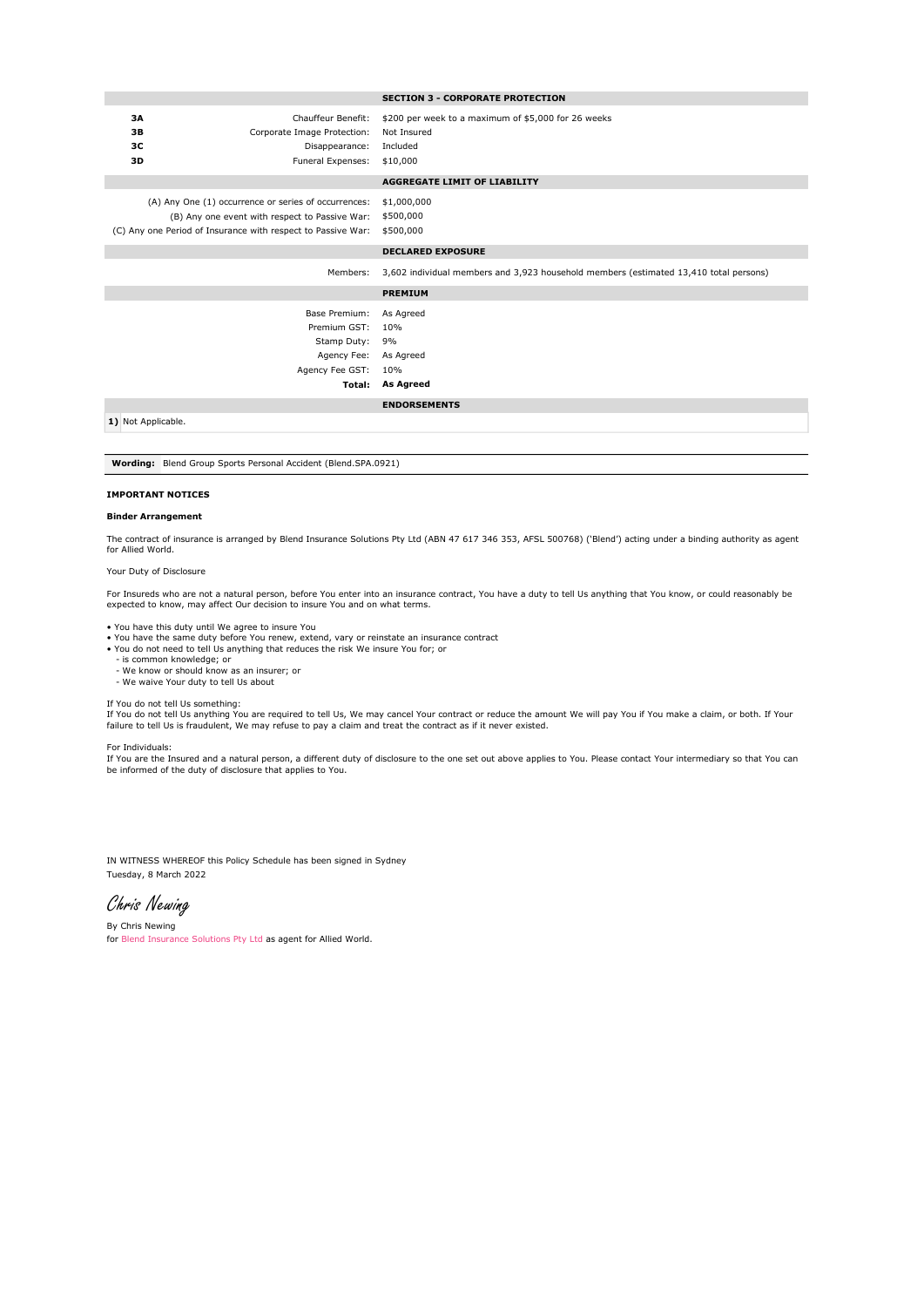#### SECTION 3 - CORPORATE PROTECTION

| ЗΑ | Chauffeur Benefit:          | \$200 per |
|----|-----------------------------|-----------|
| 3В | Corporate Image Protection: | Not Insu  |
| зс | Disappearance:              | Included  |
| 3D | Funeral Expenses:           | \$10,000  |
|    |                             |           |

bet Insured .<br>34 OO per week to a maximum of \$5,000 for 26 weeks

(B) Any one event with respect to Passive War: \$500,000 (C) Any one Period of Insurance with respect to Passive War: \$500,000 (A) Any One (1) occurrence or series of occurrences: \$1,000,000

AGGREGATE LIMIT OF LIABILITY

#### DECLARED EXPOSURE

Members: 3,602 individual members and 3,923 household members (estimated 13,410 total persons)

PREMIUM

Agency Fee: As Agreed Agency Fee GST: 10% Base Premium: As Agreed Premium GST: 10% Stamp Duty: 9%

Total: As Agreed

#### ENDORSEMENTS

1) Not Applicable.

Wording: Blend Group Sports Personal Accident (Blend.SPA.0921)

#### IMPORTANT NOTICES

#### Binder Arrangement

The contract of insurance is arranged by Blend Insurance Solutions Pty Ltd (ABN 47 617 346 353, AFSL 500768) ('Blend') acting under a binding authority as agent for Allied World.

#### Your Duty of Disclosure

For Insureds who are not a natural person, before You enter into an insurance contract, You have a duty to tell Us anything that You know, or could reasonably be expected to know, may affect Our decision to insure You and on what terms.

• You have this duty until We agree to insure You

- You have the same duty before You renew, extend, vary or reinstate an insurance contract You do not need to tell Us anything that reduces the risk We insure You for; or
- 
- 
- is common knowledge; or We know or should know as an insurer; or
- We waive Your duty to tell Us about

If You do not tell Us something:

If You do not tell Us anything You are required to tell Us, We may cancel Your contract or reduce the amount We will pay You if You make a claim, or both. If Your failure to tell Us is fraudulent, We may refuse to pay a claim and treat the contract as if it never existed.

#### For Individuals:

If You are the Insured and a natural person, a different duty of disclosure to the one set out above applies to You. Please contact Your intermediary so that You can be informed of the duty of disclosure that applies to You.

IN WITNESS WHEREOF this Policy Schedule has been signed in Sydney Tuesday, 8 March 2022

Chris Newing

By Chris Newing for Blend Insurance Solutions Pty Ltd as agent for Allied World.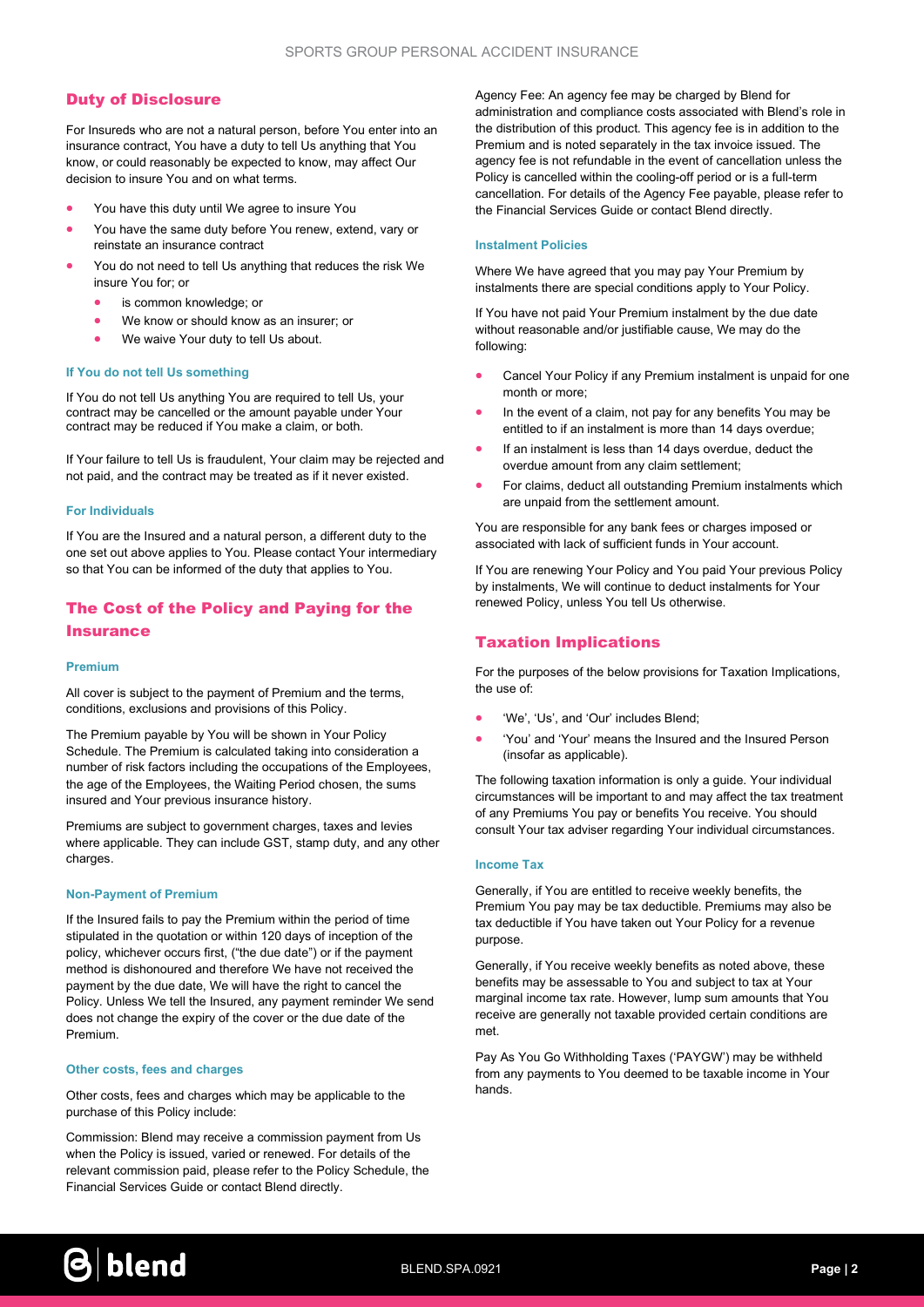# Duty of Disclosure

For Insureds who are not a natural person, before You enter into an insurance contract, You have a duty to tell Us anything that You know, or could reasonably be expected to know, may affect Our decision to insure You and on what terms.

- You have this duty until We agree to insure You
- You have the same duty before You renew, extend, vary or reinstate an insurance contract
- You do not need to tell Us anything that reduces the risk We insure You for; or
	- is common knowledge; or
	- We know or should know as an insurer; or
	- We waive Your duty to tell Us about.

#### If You do not tell Us something

If You do not tell Us anything You are required to tell Us, your contract may be cancelled or the amount payable under Your contract may be reduced if You make a claim, or both.

If Your failure to tell Us is fraudulent, Your claim may be rejected and not paid, and the contract may be treated as if it never existed.

#### For Individuals

If You are the Insured and a natural person, a different duty to the one set out above applies to You. Please contact Your intermediary so that You can be informed of the duty that applies to You.

# The Cost of the Policy and Paying for the **Insurance**

#### Premium

All cover is subject to the payment of Premium and the terms, conditions, exclusions and provisions of this Policy.

The Premium payable by You will be shown in Your Policy Schedule. The Premium is calculated taking into consideration a number of risk factors including the occupations of the Employees, the age of the Employees, the Waiting Period chosen, the sums insured and Your previous insurance history.

Premiums are subject to government charges, taxes and levies where applicable. They can include GST, stamp duty, and any other charges.

### Non-Payment of Premium

If the Insured fails to pay the Premium within the period of time stipulated in the quotation or within 120 days of inception of the policy, whichever occurs first, ("the due date") or if the payment method is dishonoured and therefore We have not received the payment by the due date, We will have the right to cancel the Policy. Unless We tell the Insured, any payment reminder We send does not change the expiry of the cover or the due date of the Premium.

#### Other costs, fees and charges

Other costs, fees and charges which may be applicable to the purchase of this Policy include:

Commission: Blend may receive a commission payment from Us when the Policy is issued, varied or renewed. For details of the relevant commission paid, please refer to the Policy Schedule, the Financial Services Guide or contact Blend directly.

Agency Fee: An agency fee may be charged by Blend for administration and compliance costs associated with Blend's role in the distribution of this product. This agency fee is in addition to the Premium and is noted separately in the tax invoice issued. The agency fee is not refundable in the event of cancellation unless the Policy is cancelled within the cooling-off period or is a full-term cancellation. For details of the Agency Fee payable, please refer to the Financial Services Guide or contact Blend directly.

#### Instalment Policies

Where We have agreed that you may pay Your Premium by instalments there are special conditions apply to Your Policy.

If You have not paid Your Premium instalment by the due date without reasonable and/or justifiable cause, We may do the following:

- Cancel Your Policy if any Premium instalment is unpaid for one month or more;
- In the event of a claim, not pay for any benefits You may be entitled to if an instalment is more than 14 days overdue;
- If an instalment is less than 14 days overdue, deduct the overdue amount from any claim settlement;
- For claims, deduct all outstanding Premium instalments which are unpaid from the settlement amount.

You are responsible for any bank fees or charges imposed or associated with lack of sufficient funds in Your account.

If You are renewing Your Policy and You paid Your previous Policy by instalments, We will continue to deduct instalments for Your renewed Policy, unless You tell Us otherwise.

# Taxation Implications

For the purposes of the below provisions for Taxation Implications, the use of:

- 'We', 'Us', and 'Our' includes Blend;
- 'You' and 'Your' means the Insured and the Insured Person (insofar as applicable).

The following taxation information is only a guide. Your individual circumstances will be important to and may affect the tax treatment of any Premiums You pay or benefits You receive. You should consult Your tax adviser regarding Your individual circumstances.

#### Income Tax

Generally, if You are entitled to receive weekly benefits, the Premium You pay may be tax deductible. Premiums may also be tax deductible if You have taken out Your Policy for a revenue purpose.

Generally, if You receive weekly benefits as noted above, these benefits may be assessable to You and subject to tax at Your marginal income tax rate. However, lump sum amounts that You receive are generally not taxable provided certain conditions are met.

Pay As You Go Withholding Taxes ('PAYGW') may be withheld from any payments to You deemed to be taxable income in Your hands.

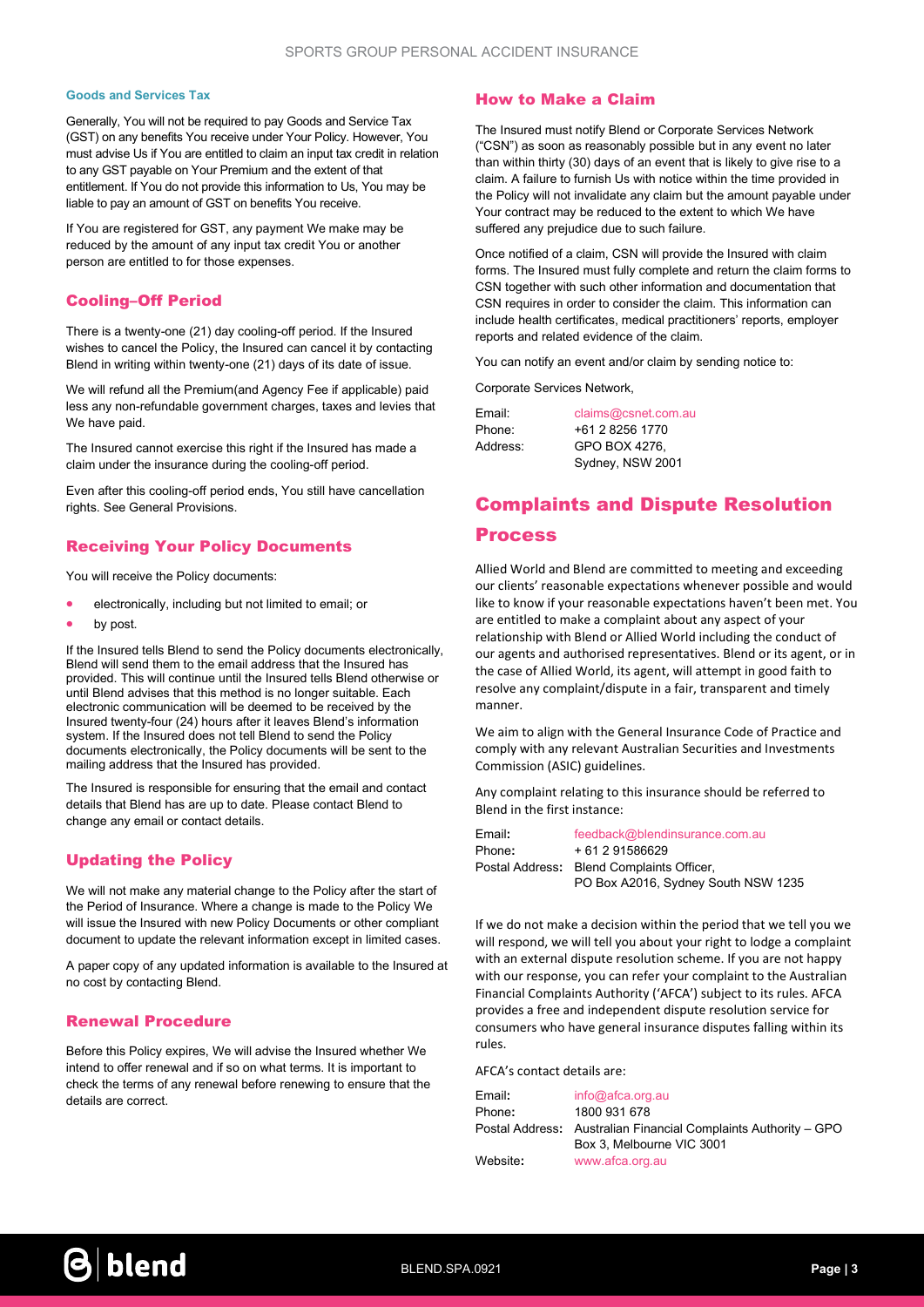#### Goods and Services Tax

Generally, You will not be required to pay Goods and Service Tax (GST) on any benefits You receive under Your Policy. However, You must advise Us if You are entitled to claim an input tax credit in relation to any GST payable on Your Premium and the extent of that entitlement. If You do not provide this information to Us, You may be liable to pay an amount of GST on benefits You receive.

If You are registered for GST, any payment We make may be reduced by the amount of any input tax credit You or another person are entitled to for those expenses.

# Cooling–Off Period

There is a twenty-one (21) day cooling-off period. If the Insured wishes to cancel the Policy, the Insured can cancel it by contacting Blend in writing within twenty-one (21) days of its date of issue.

We will refund all the Premium(and Agency Fee if applicable) paid less any non-refundable government charges, taxes and levies that We have paid.

The Insured cannot exercise this right if the Insured has made a claim under the insurance during the cooling-off period.

Even after this cooling-off period ends, You still have cancellation rights. See General Provisions.

# Receiving Your Policy Documents

You will receive the Policy documents:

- electronically, including but not limited to email; or
- by post.

If the Insured tells Blend to send the Policy documents electronically, Blend will send them to the email address that the Insured has provided. This will continue until the Insured tells Blend otherwise or until Blend advises that this method is no longer suitable. Each electronic communication will be deemed to be received by the Insured twenty-four (24) hours after it leaves Blend's information system. If the Insured does not tell Blend to send the Policy documents electronically, the Policy documents will be sent to the mailing address that the Insured has provided.

The Insured is responsible for ensuring that the email and contact details that Blend has are up to date. Please contact Blend to change any email or contact details.

# Updating the Policy

We will not make any material change to the Policy after the start of the Period of Insurance. Where a change is made to the Policy We will issue the Insured with new Policy Documents or other compliant document to update the relevant information except in limited cases.

A paper copy of any updated information is available to the Insured at no cost by contacting Blend.

## Renewal Procedure

Before this Policy expires, We will advise the Insured whether We intend to offer renewal and if so on what terms. It is important to check the terms of any renewal before renewing to ensure that the details are correct.

# How to Make a Claim

The Insured must notify Blend or Corporate Services Network ("CSN") as soon as reasonably possible but in any event no later than within thirty (30) days of an event that is likely to give rise to a claim. A failure to furnish Us with notice within the time provided in the Policy will not invalidate any claim but the amount payable under Your contract may be reduced to the extent to which We have suffered any prejudice due to such failure.

Once notified of a claim, CSN will provide the Insured with claim forms. The Insured must fully complete and return the claim forms to CSN together with such other information and documentation that CSN requires in order to consider the claim. This information can include health certificates, medical practitioners' reports, employer reports and related evidence of the claim.

You can notify an event and/or claim by sending notice to:

Corporate Services Network,

| Email:   | claims@csnet.com.au |
|----------|---------------------|
| Phone:   | +61 2 8256 1770     |
| Address: | GPO BOX 4276.       |
|          | Sydney, NSW 2001    |

# Complaints and Dispute Resolution

# **Process**

Allied World and Blend are committed to meeting and exceeding our clients' reasonable expectations whenever possible and would like to know if your reasonable expectations haven't been met. You are entitled to make a complaint about any aspect of your relationship with Blend or Allied World including the conduct of our agents and authorised representatives. Blend or its agent, or in the case of Allied World, its agent, will attempt in good faith to resolve any complaint/dispute in a fair, transparent and timely manner.

We aim to align with the General Insurance Code of Practice and comply with any relevant Australian Securities and Investments Commission (ASIC) guidelines.

Any complaint relating to this insurance should be referred to Blend in the first instance:

| Email: | feedback@blendinsurance.com.au            |
|--------|-------------------------------------------|
| Phone: | + 61 2 91586629                           |
|        | Postal Address: Blend Complaints Officer, |
|        | PO Box A2016, Sydney South NSW 1235       |

If we do not make a decision within the period that we tell you we will respond, we will tell you about your right to lodge a complaint with an external dispute resolution scheme. If you are not happy with our response, you can refer your complaint to the Australian Financial Complaints Authority ('AFCA') subject to its rules. AFCA provides a free and independent dispute resolution service for consumers who have general insurance disputes falling within its rules.

AFCA's contact details are:

| Email:   | info@afca.org.au                                                |
|----------|-----------------------------------------------------------------|
| Phone:   | 1800 931 678                                                    |
|          | Postal Address: Australian Financial Complaints Authority – GPO |
|          | Box 3. Melbourne VIC 3001                                       |
| Website: | www.afca.org.au                                                 |

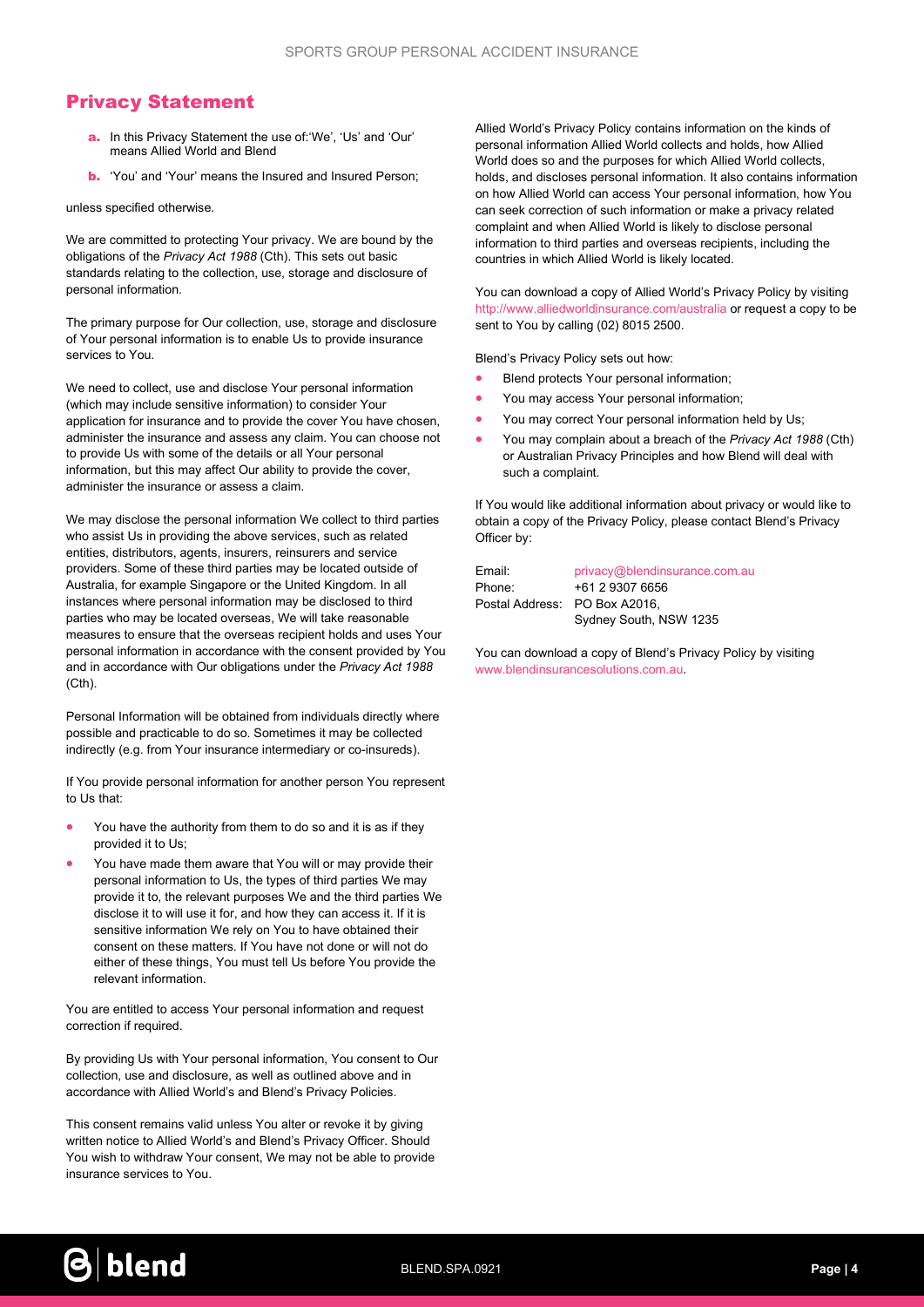# Privacy Statement

- a. In this Privacy Statement the use of:'We', 'Us' and 'Our' means Allied World and Blend
- **b.** 'You' and 'Your' means the Insured and Insured Person;

unless specified otherwise.

We are committed to protecting Your privacy. We are bound by the obligations of the Privacy Act 1988 (Cth). This sets out basic standards relating to the collection, use, storage and disclosure of personal information.

The primary purpose for Our collection, use, storage and disclosure of Your personal information is to enable Us to provide insurance services to You.

We need to collect, use and disclose Your personal information (which may include sensitive information) to consider Your application for insurance and to provide the cover You have chosen, administer the insurance and assess any claim. You can choose not to provide Us with some of the details or all Your personal information, but this may affect Our ability to provide the cover, administer the insurance or assess a claim.

We may disclose the personal information We collect to third parties who assist Us in providing the above services, such as related entities, distributors, agents, insurers, reinsurers and service providers. Some of these third parties may be located outside of Australia, for example Singapore or the United Kingdom. In all instances where personal information may be disclosed to third parties who may be located overseas, We will take reasonable measures to ensure that the overseas recipient holds and uses Your personal information in accordance with the consent provided by You and in accordance with Our obligations under the Privacy Act 1988  $(Cth)$ .

Personal Information will be obtained from individuals directly where possible and practicable to do so. Sometimes it may be collected indirectly (e.g. from Your insurance intermediary or co-insureds).

If You provide personal information for another person You represent to Us that:

- You have the authority from them to do so and it is as if they provided it to Us;
- You have made them aware that You will or may provide their personal information to Us, the types of third parties We may provide it to, the relevant purposes We and the third parties We disclose it to will use it for, and how they can access it. If it is sensitive information We rely on You to have obtained their consent on these matters. If You have not done or will not do either of these things, You must tell Us before You provide the relevant information.

You are entitled to access Your personal information and request correction if required.

By providing Us with Your personal information, You consent to Our collection, use and disclosure, as well as outlined above and in accordance with Allied World's and Blend's Privacy Policies.

This consent remains valid unless You alter or revoke it by giving written notice to Allied World's and Blend's Privacy Officer. Should You wish to withdraw Your consent, We may not be able to provide insurance services to You.

Allied World's Privacy Policy contains information on the kinds of personal information Allied World collects and holds, how Allied World does so and the purposes for which Allied World collects, holds, and discloses personal information. It also contains information on how Allied World can access Your personal information, how You can seek correction of such information or make a privacy related complaint and when Allied World is likely to disclose personal information to third parties and overseas recipients, including the countries in which Allied World is likely located.

You can download a copy of Allied World's Privacy Policy by visiting http://www.alliedworldinsurance.com/australia or request a copy to be sent to You by calling (02) 8015 2500.

Blend's Privacy Policy sets out how:

- Blend protects Your personal information;
- You may access Your personal information;
- You may correct Your personal information held by Us;
- You may complain about a breach of the Privacy Act 1988 (Cth) or Australian Privacy Principles and how Blend will deal with such a complaint.

If You would like additional information about privacy or would like to obtain a copy of the Privacy Policy, please contact Blend's Privacy Officer by:

Email: privacy@blendinsurance.com.au

Phone: +61 2 9307 6656 Postal Address: PO Box A2016, Sydney South, NSW 1235

You can download a copy of Blend's Privacy Policy by visiting www.blendinsurancesolutions.com.au.

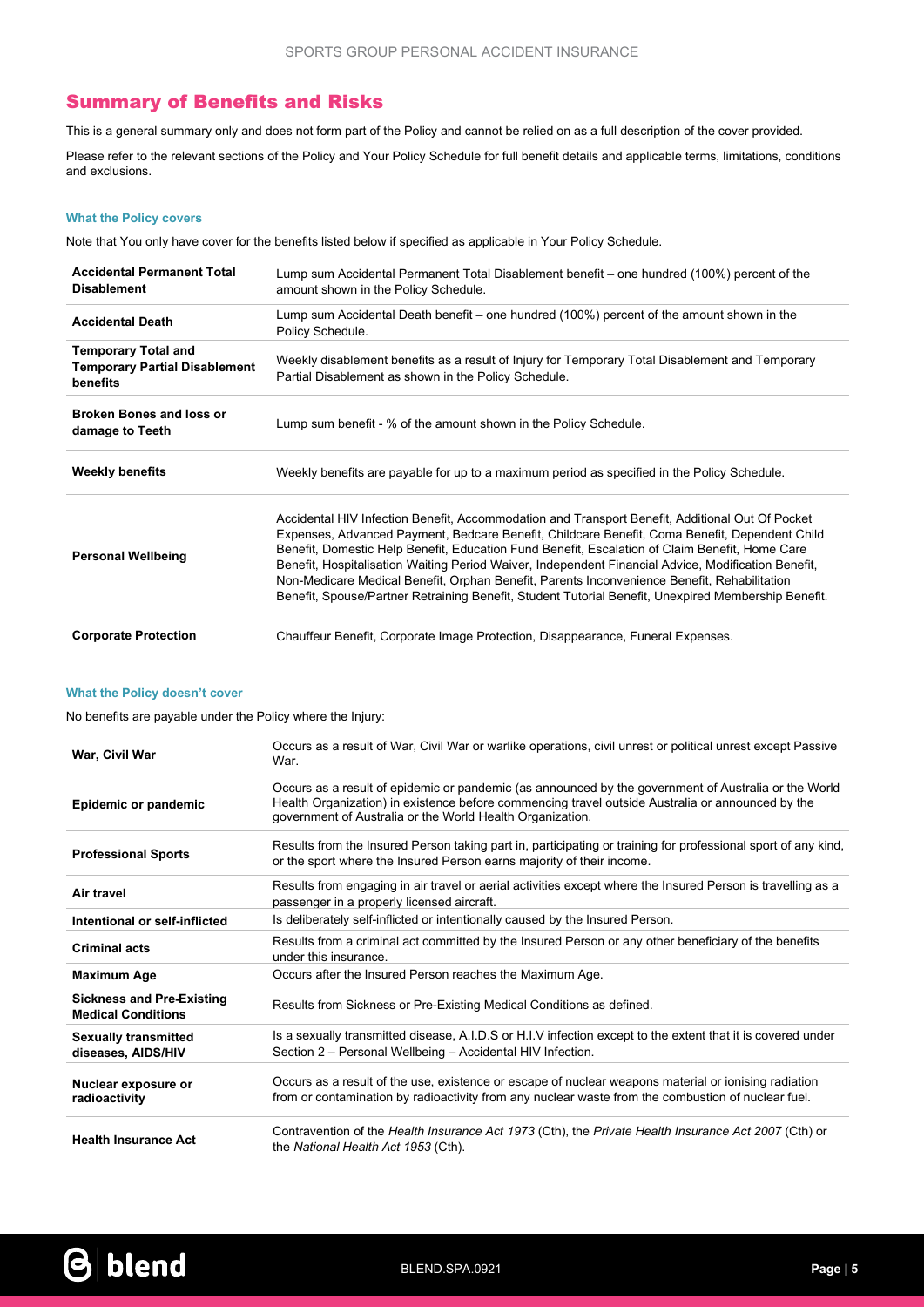# Summary of Benefits and Risks

This is a general summary only and does not form part of the Policy and cannot be relied on as a full description of the cover provided.

Please refer to the relevant sections of the Policy and Your Policy Schedule for full benefit details and applicable terms, limitations, conditions and exclusions.

# What the Policy covers

Note that You only have cover for the benefits listed below if specified as applicable in Your Policy Schedule.

| <b>Accidental Permanent Total</b><br><b>Disablement</b>                        | Lump sum Accidental Permanent Total Disablement benefit – one hundred (100%) percent of the<br>amount shown in the Policy Schedule.                                                                                                                                                                                                                                                                                                                                                                                                                                                                             |  |
|--------------------------------------------------------------------------------|-----------------------------------------------------------------------------------------------------------------------------------------------------------------------------------------------------------------------------------------------------------------------------------------------------------------------------------------------------------------------------------------------------------------------------------------------------------------------------------------------------------------------------------------------------------------------------------------------------------------|--|
| <b>Accidental Death</b>                                                        | Lump sum Accidental Death benefit - one hundred (100%) percent of the amount shown in the<br>Policy Schedule.                                                                                                                                                                                                                                                                                                                                                                                                                                                                                                   |  |
| <b>Temporary Total and</b><br><b>Temporary Partial Disablement</b><br>benefits | Weekly disablement benefits as a result of Injury for Temporary Total Disablement and Temporary<br>Partial Disablement as shown in the Policy Schedule.                                                                                                                                                                                                                                                                                                                                                                                                                                                         |  |
| <b>Broken Bones and loss or</b><br>damage to Teeth                             | Lump sum benefit - % of the amount shown in the Policy Schedule.                                                                                                                                                                                                                                                                                                                                                                                                                                                                                                                                                |  |
| <b>Weekly benefits</b>                                                         | Weekly benefits are payable for up to a maximum period as specified in the Policy Schedule.                                                                                                                                                                                                                                                                                                                                                                                                                                                                                                                     |  |
| <b>Personal Wellbeing</b>                                                      | Accidental HIV Infection Benefit, Accommodation and Transport Benefit, Additional Out Of Pocket<br>Expenses, Advanced Payment, Bedcare Benefit, Childcare Benefit, Coma Benefit, Dependent Child<br>Benefit, Domestic Help Benefit, Education Fund Benefit, Escalation of Claim Benefit, Home Care<br>Benefit, Hospitalisation Waiting Period Waiver, Independent Financial Advice, Modification Benefit,<br>Non-Medicare Medical Benefit, Orphan Benefit, Parents Inconvenience Benefit, Rehabilitation<br>Benefit, Spouse/Partner Retraining Benefit, Student Tutorial Benefit, Unexpired Membership Benefit. |  |
| <b>Corporate Protection</b>                                                    | Chauffeur Benefit, Corporate Image Protection, Disappearance, Funeral Expenses.                                                                                                                                                                                                                                                                                                                                                                                                                                                                                                                                 |  |

#### What the Policy doesn't cover

No benefits are payable under the Policy where the Injury:

| War, Civil War                                                | Occurs as a result of War, Civil War or warlike operations, civil unrest or political unrest except Passive<br>War.                                                                                                                                                   |  |
|---------------------------------------------------------------|-----------------------------------------------------------------------------------------------------------------------------------------------------------------------------------------------------------------------------------------------------------------------|--|
| Epidemic or pandemic                                          | Occurs as a result of epidemic or pandemic (as announced by the government of Australia or the World<br>Health Organization) in existence before commencing travel outside Australia or announced by the<br>government of Australia or the World Health Organization. |  |
| <b>Professional Sports</b>                                    | Results from the Insured Person taking part in, participating or training for professional sport of any kind,<br>or the sport where the Insured Person earns majority of their income.                                                                                |  |
| Air travel                                                    | Results from engaging in air travel or aerial activities except where the Insured Person is travelling as a<br>passenger in a properly licensed aircraft.                                                                                                             |  |
| Intentional or self-inflicted                                 | Is deliberately self-inflicted or intentionally caused by the Insured Person.                                                                                                                                                                                         |  |
| <b>Criminal acts</b>                                          | Results from a criminal act committed by the Insured Person or any other beneficiary of the benefits<br>under this insurance.                                                                                                                                         |  |
| <b>Maximum Age</b>                                            | Occurs after the Insured Person reaches the Maximum Age.                                                                                                                                                                                                              |  |
| <b>Sickness and Pre-Existing</b><br><b>Medical Conditions</b> | Results from Sickness or Pre-Existing Medical Conditions as defined.                                                                                                                                                                                                  |  |
| <b>Sexually transmitted</b><br>diseases, AIDS/HIV             | Is a sexually transmitted disease, A.I.D.S or H.I.V infection except to the extent that it is covered under<br>Section 2 - Personal Wellbeing - Accidental HIV Infection.                                                                                             |  |
| Nuclear exposure or<br>radioactivity                          | Occurs as a result of the use, existence or escape of nuclear weapons material or ionising radiation<br>from or contamination by radioactivity from any nuclear waste from the combustion of nuclear fuel.                                                            |  |
| <b>Health Insurance Act</b>                                   | Contravention of the Health Insurance Act 1973 (Cth), the Private Health Insurance Act 2007 (Cth) or<br>the National Health Act 1953 (Cth).                                                                                                                           |  |

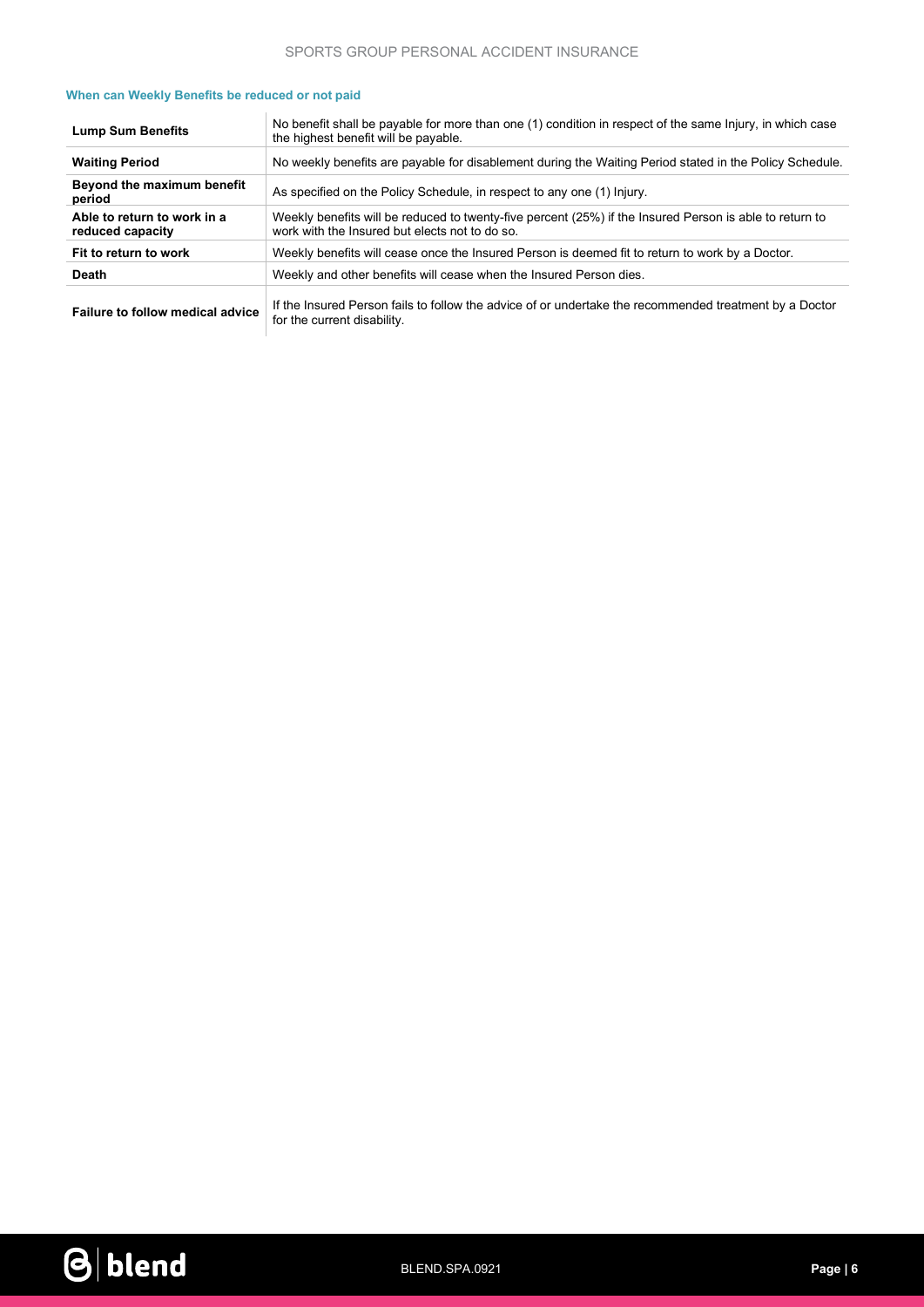| When can Weekly Benefits be reduced or not paid |  |  |  |
|-------------------------------------------------|--|--|--|
|-------------------------------------------------|--|--|--|

| <b>Lump Sum Benefits</b>                        | No benefit shall be payable for more than one (1) condition in respect of the same Injury, in which case<br>the highest benefit will be payable.          |  |
|-------------------------------------------------|-----------------------------------------------------------------------------------------------------------------------------------------------------------|--|
| <b>Waiting Period</b>                           | No weekly benefits are payable for disablement during the Waiting Period stated in the Policy Schedule.                                                   |  |
| Beyond the maximum benefit<br>period            | As specified on the Policy Schedule, in respect to any one (1) Injury.                                                                                    |  |
| Able to return to work in a<br>reduced capacity | Weekly benefits will be reduced to twenty-five percent (25%) if the Insured Person is able to return to<br>work with the Insured but elects not to do so. |  |
| Fit to return to work                           | Weekly benefits will cease once the Insured Person is deemed fit to return to work by a Doctor.                                                           |  |
| <b>Death</b>                                    | Weekly and other benefits will cease when the Insured Person dies.                                                                                        |  |
|                                                 |                                                                                                                                                           |  |

Failure to follow medical advice If the Insured Person fails to follow the advice of or undertake the recommended treatment by a Doctor for the current disability.

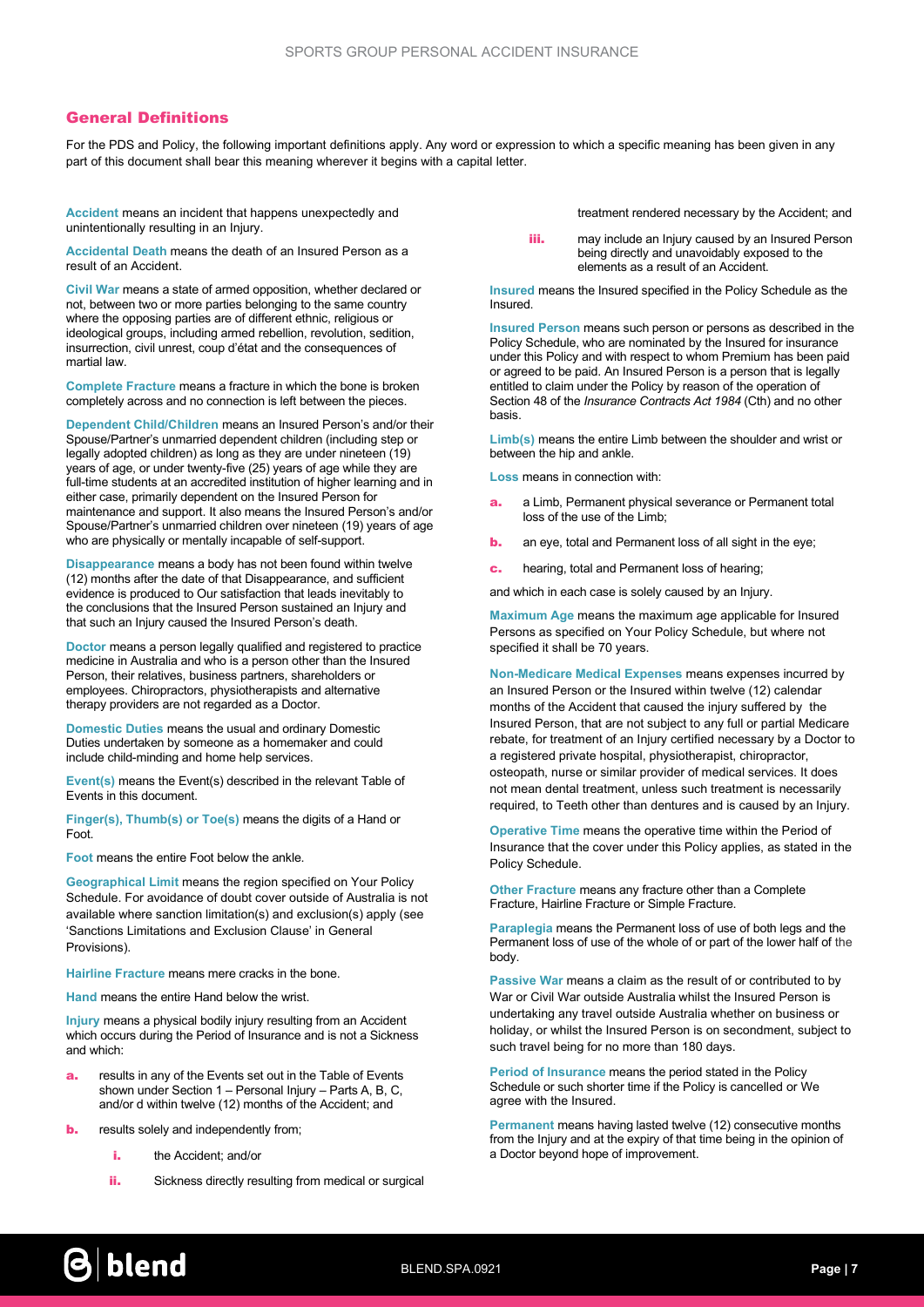# General Definitions

For the PDS and Policy, the following important definitions apply. Any word or expression to which a specific meaning has been given in any part of this document shall bear this meaning wherever it begins with a capital letter.

Accident means an incident that happens unexpectedly and unintentionally resulting in an Injury.

Accidental Death means the death of an Insured Person as a result of an Accident.

Civil War means a state of armed opposition, whether declared or not, between two or more parties belonging to the same country where the opposing parties are of different ethnic, religious or ideological groups, including armed rebellion, revolution, sedition, insurrection, civil unrest, coup d'état and the consequences of martial law.

Complete Fracture means a fracture in which the bone is broken completely across and no connection is left between the pieces.

Dependent Child/Children means an Insured Person's and/or their Spouse/Partner's unmarried dependent children (including step or legally adopted children) as long as they are under nineteen (19) years of age, or under twenty-five (25) years of age while they are full-time students at an accredited institution of higher learning and in either case, primarily dependent on the Insured Person for maintenance and support. It also means the Insured Person's and/or Spouse/Partner's unmarried children over nineteen (19) years of age who are physically or mentally incapable of self-support.

Disappearance means a body has not been found within twelve (12) months after the date of that Disappearance, and sufficient evidence is produced to Our satisfaction that leads inevitably to the conclusions that the Insured Person sustained an Injury and that such an Injury caused the Insured Person's death.

Doctor means a person legally qualified and registered to practice medicine in Australia and who is a person other than the Insured Person, their relatives, business partners, shareholders or employees. Chiropractors, physiotherapists and alternative therapy providers are not regarded as a Doctor.

Domestic Duties means the usual and ordinary Domestic Duties undertaken by someone as a homemaker and could include child-minding and home help services.

Event(s) means the Event(s) described in the relevant Table of Events in this document.

Finger(s), Thumb(s) or Toe(s) means the digits of a Hand or Foot.

Foot means the entire Foot below the ankle.

Geographical Limit means the region specified on Your Policy Schedule. For avoidance of doubt cover outside of Australia is not available where sanction limitation(s) and exclusion(s) apply (see 'Sanctions Limitations and Exclusion Clause' in General Provisions).

Hairline Fracture means mere cracks in the bone.

Hand means the entire Hand below the wrist.

Injury means a physical bodily injury resulting from an Accident which occurs during the Period of Insurance and is not a Sickness and which:

- results in any of the Events set out in the Table of Events shown under Section 1 – Personal Injury – Parts A, B, C, and/or d within twelve (12) months of the Accident; and
- **b.** results solely and independently from;
	- **i.** the Accident; and/or
	- ii. Sickness directly resulting from medical or surgical

treatment rendered necessary by the Accident; and

iii. may include an Injury caused by an Insured Person being directly and unavoidably exposed to the elements as a result of an Accident.

Insured means the Insured specified in the Policy Schedule as the Insured.

Insured Person means such person or persons as described in the Policy Schedule, who are nominated by the Insured for insurance under this Policy and with respect to whom Premium has been paid or agreed to be paid. An Insured Person is a person that is legally entitled to claim under the Policy by reason of the operation of Section 48 of the Insurance Contracts Act 1984 (Cth) and no other basis.

Limb(s) means the entire Limb between the shoulder and wrist or between the hip and ankle.

Loss means in connection with:

- a. a Limb, Permanent physical severance or Permanent total loss of the use of the Limb;
- **b.** an eye, total and Permanent loss of all sight in the eye;
- c. hearing, total and Permanent loss of hearing;

and which in each case is solely caused by an Injury.

Maximum Age means the maximum age applicable for Insured Persons as specified on Your Policy Schedule, but where not specified it shall be 70 years.

Non-Medicare Medical Expenses means expenses incurred by an Insured Person or the Insured within twelve (12) calendar months of the Accident that caused the injury suffered by the Insured Person, that are not subject to any full or partial Medicare rebate, for treatment of an Injury certified necessary by a Doctor to a registered private hospital, physiotherapist, chiropractor, osteopath, nurse or similar provider of medical services. It does not mean dental treatment, unless such treatment is necessarily required, to Teeth other than dentures and is caused by an Injury.

Operative Time means the operative time within the Period of Insurance that the cover under this Policy applies, as stated in the Policy Schedule.

Other Fracture means any fracture other than a Complete Fracture, Hairline Fracture or Simple Fracture.

Paraplegia means the Permanent loss of use of both legs and the Permanent loss of use of the whole of or part of the lower half of the body.

Passive War means a claim as the result of or contributed to by War or Civil War outside Australia whilst the Insured Person is undertaking any travel outside Australia whether on business or holiday, or whilst the Insured Person is on secondment, subject to such travel being for no more than 180 days.

Period of Insurance means the period stated in the Policy Schedule or such shorter time if the Policy is cancelled or We agree with the Insured.

Permanent means having lasted twelve (12) consecutive months from the Injury and at the expiry of that time being in the opinion of a Doctor beyond hope of improvement.

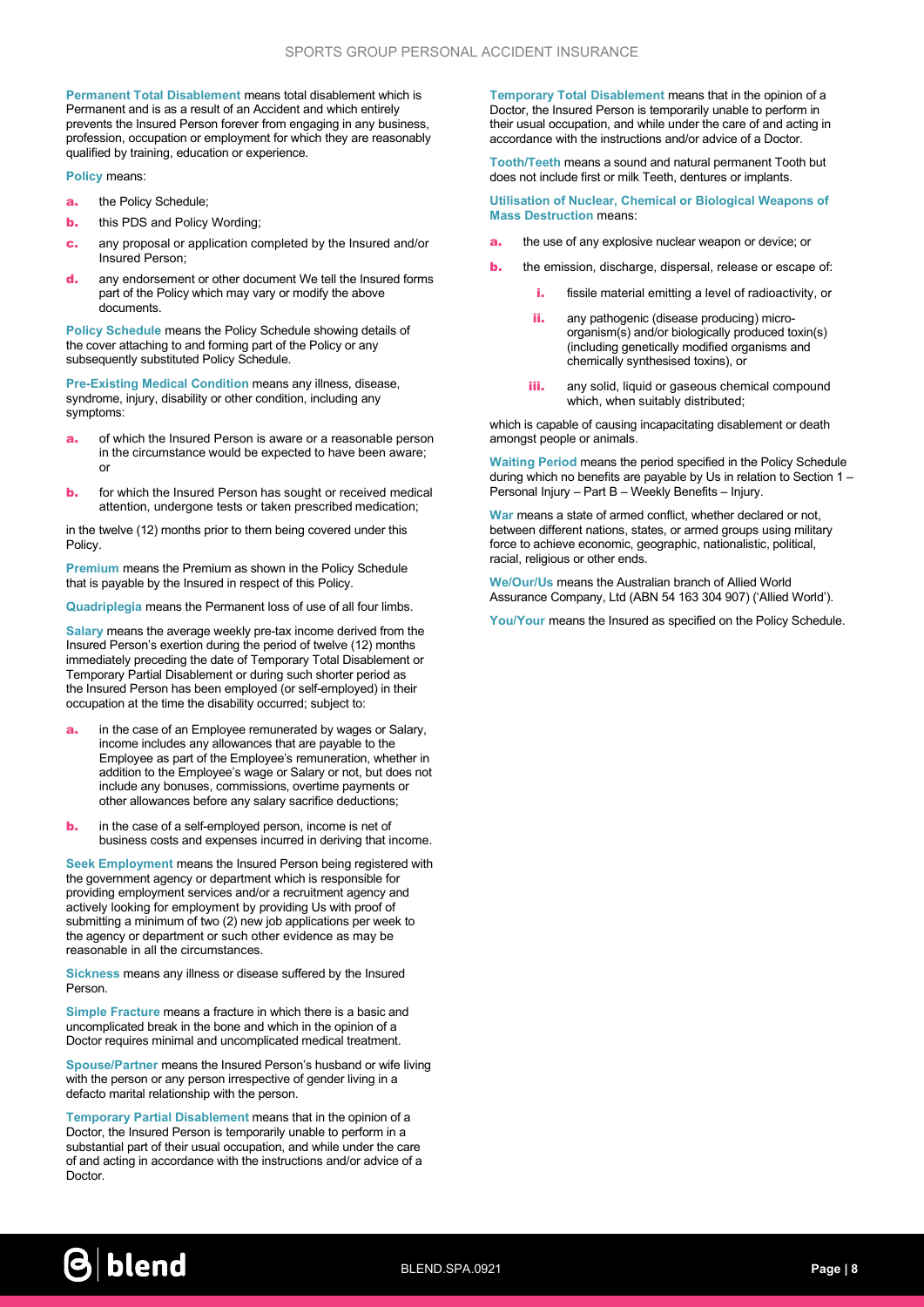Permanent Total Disablement means total disablement which is Permanent and is as a result of an Accident and which entirely prevents the Insured Person forever from engaging in any business, profession, occupation or employment for which they are reasonably qualified by training, education or experience.

Policy means:

- a. the Policy Schedule;
- **b.** this PDS and Policy Wording;
- c. any proposal or application completed by the Insured and/or Insured Person;
- d. any endorsement or other document We tell the Insured forms part of the Policy which may vary or modify the above documents.

Policy Schedule means the Policy Schedule showing details of the cover attaching to and forming part of the Policy or any subsequently substituted Policy Schedule.

Pre-Existing Medical Condition means any illness, disease, syndrome, injury, disability or other condition, including any symptoms:

- a. of which the Insured Person is aware or a reasonable person in the circumstance would be expected to have been aware; or
- **b.** for which the Insured Person has sought or received medical attention, undergone tests or taken prescribed medication;

in the twelve (12) months prior to them being covered under this Policy.

Premium means the Premium as shown in the Policy Schedule that is payable by the Insured in respect of this Policy.

Quadriplegia means the Permanent loss of use of all four limbs.

Salary means the average weekly pre-tax income derived from the Insured Person's exertion during the period of twelve (12) months immediately preceding the date of Temporary Total Disablement or Temporary Partial Disablement or during such shorter period as the Insured Person has been employed (or self-employed) in their occupation at the time the disability occurred; subject to:

- **a.** in the case of an Employee remunerated by wages or Salary, income includes any allowances that are payable to the Employee as part of the Employee's remuneration, whether in addition to the Employee's wage or Salary or not, but does not include any bonuses, commissions, overtime payments or other allowances before any salary sacrifice deductions;
- **b.** in the case of a self-employed person, income is net of business costs and expenses incurred in deriving that income.

Seek Employment means the Insured Person being registered with the government agency or department which is responsible for providing employment services and/or a recruitment agency and actively looking for employment by providing Us with proof of submitting a minimum of two (2) new job applications per week to the agency or department or such other evidence as may be reasonable in all the circumstances.

Sickness means any illness or disease suffered by the Insured Person.

Simple Fracture means a fracture in which there is a basic and uncomplicated break in the bone and which in the opinion of a Doctor requires minimal and uncomplicated medical treatment.

Spouse/Partner means the Insured Person's husband or wife living with the person or any person irrespective of gender living in a defacto marital relationship with the person.

Temporary Partial Disablement means that in the opinion of a Doctor, the Insured Person is temporarily unable to perform in a substantial part of their usual occupation, and while under the care of and acting in accordance with the instructions and/or advice of a Doctor.

Temporary Total Disablement means that in the opinion of a Doctor, the Insured Person is temporarily unable to perform in their usual occupation, and while under the care of and acting in accordance with the instructions and/or advice of a Doctor.

Tooth/Teeth means a sound and natural permanent Tooth but does not include first or milk Teeth, dentures or implants.

Utilisation of Nuclear, Chemical or Biological Weapons of Mass Destruction means:

- the use of any explosive nuclear weapon or device; or
- **b.** the emission, discharge, dispersal, release or escape of:
	- i. fissile material emitting a level of radioactivity, or
	- ii. any pathogenic (disease producing) microorganism(s) and/or biologically produced toxin(s) (including genetically modified organisms and chemically synthesised toxins), or
	- iii. any solid, liquid or gaseous chemical compound which, when suitably distributed;

which is capable of causing incapacitating disablement or death amongst people or animals.

Waiting Period means the period specified in the Policy Schedule during which no benefits are payable by Us in relation to Section 1 – Personal Injury – Part B – Weekly Benefits – Injury.

War means a state of armed conflict, whether declared or not, between different nations, states, or armed groups using military force to achieve economic, geographic, nationalistic, political, racial, religious or other ends.

We/Our/Us means the Australian branch of Allied World Assurance Company, Ltd (ABN 54 163 304 907) ('Allied World').

You/Your means the Insured as specified on the Policy Schedule.

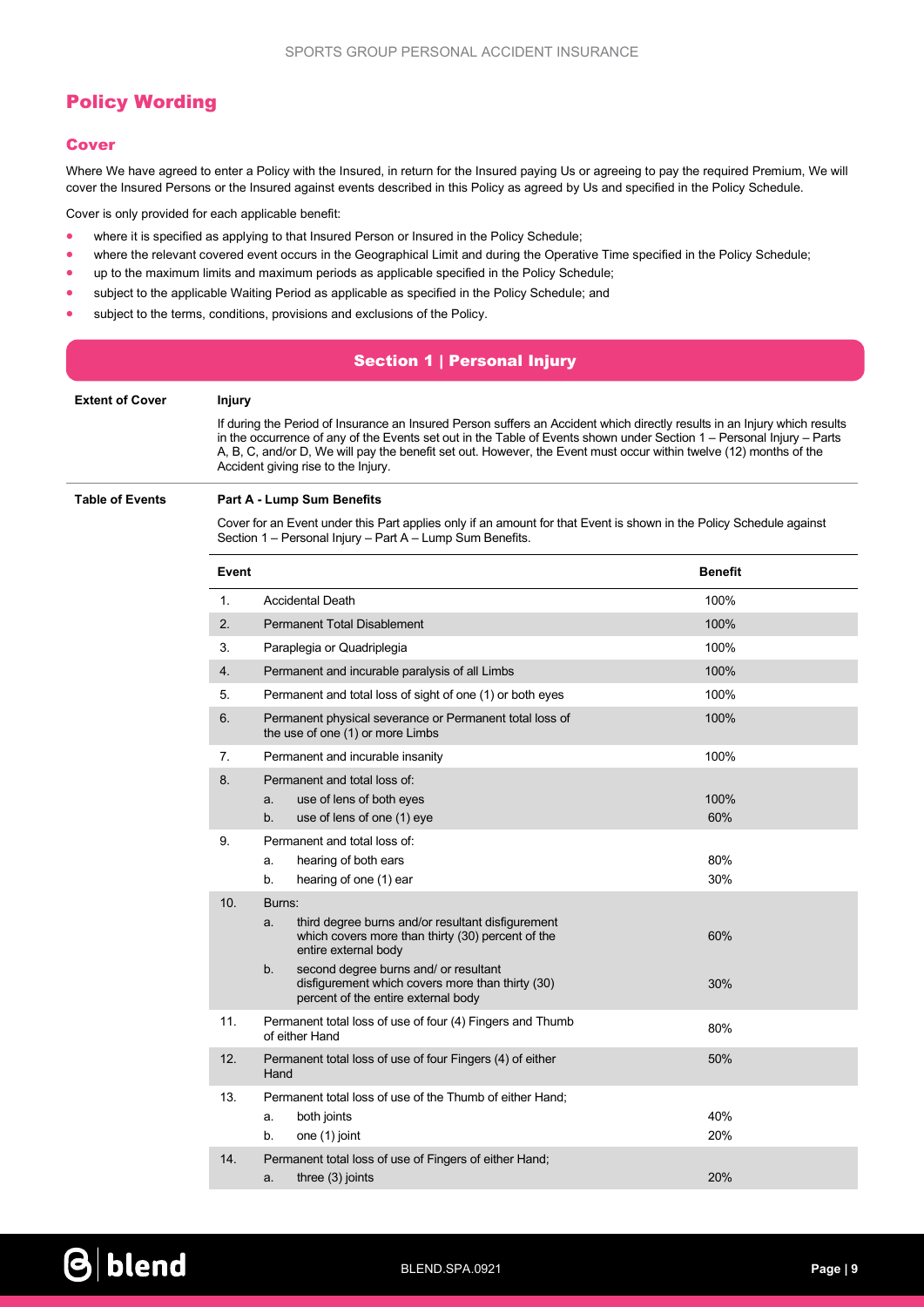# Policy Wording

# Cover

Where We have agreed to enter a Policy with the Insured, in return for the Insured paying Us or agreeing to pay the required Premium, We will cover the Insured Persons or the Insured against events described in this Policy as agreed by Us and specified in the Policy Schedule.

Cover is only provided for each applicable benefit:

- where it is specified as applying to that Insured Person or Insured in the Policy Schedule;
- where the relevant covered event occurs in the Geographical Limit and during the Operative Time specified in the Policy Schedule;
- up to the maximum limits and maximum periods as applicable specified in the Policy Schedule;
- subject to the applicable Waiting Period as applicable as specified in the Policy Schedule; and
- subject to the terms, conditions, provisions and exclusions of the Policy.

# Section 1 | Personal Injury

#### Extent of Cover Injury

If during the Period of Insurance an Insured Person suffers an Accident which directly results in an Injury which results in the occurrence of any of the Events set out in the Table of Events shown under Section 1 – Personal Injury – Parts A, B, C, and/or D, We will pay the benefit set out. However, the Event must occur within twelve (12) months of the Accident giving rise to the Injury.

Table of Events Part A - Lump Sum Benefits

Cover for an Event under this Part applies only if an amount for that Event is shown in the Policy Schedule against Section 1 – Personal Injury – Part A – Lump Sum Benefits.

| Event |                                                                                                                                                                                                                                                                                          | <b>Benefit</b> |
|-------|------------------------------------------------------------------------------------------------------------------------------------------------------------------------------------------------------------------------------------------------------------------------------------------|----------------|
| 1.    | <b>Accidental Death</b>                                                                                                                                                                                                                                                                  | 100%           |
| 2.    | <b>Permanent Total Disablement</b>                                                                                                                                                                                                                                                       | 100%           |
| 3.    | Paraplegia or Quadriplegia                                                                                                                                                                                                                                                               | 100%           |
| 4.    | Permanent and incurable paralysis of all Limbs                                                                                                                                                                                                                                           | 100%           |
| 5.    | Permanent and total loss of sight of one (1) or both eyes                                                                                                                                                                                                                                | 100%           |
| 6.    | Permanent physical severance or Permanent total loss of<br>the use of one (1) or more Limbs                                                                                                                                                                                              | 100%           |
| 7.    | Permanent and incurable insanity                                                                                                                                                                                                                                                         | 100%           |
| 8.    | Permanent and total loss of<br>use of lens of both eyes<br>a.<br>use of lens of one (1) eye<br>b.                                                                                                                                                                                        | 100%<br>60%    |
| 9.    | Permanent and total loss of:<br>hearing of both ears<br>a.<br>b.<br>hearing of one (1) ear                                                                                                                                                                                               | 80%<br>30%     |
| 10.   | Burns:<br>third degree burns and/or resultant disfigurement<br>a.<br>which covers more than thirty (30) percent of the<br>entire external body<br>second degree burns and/ or resultant<br>b.<br>disfigurement which covers more than thirty (30)<br>percent of the entire external body | 60%<br>30%     |
| 11.   | Permanent total loss of use of four (4) Fingers and Thumb<br>of either Hand                                                                                                                                                                                                              | 80%            |
| 12.   | Permanent total loss of use of four Fingers (4) of either<br>Hand                                                                                                                                                                                                                        | 50%            |
| 13.   | Permanent total loss of use of the Thumb of either Hand;<br>both joints<br>a.<br>one (1) joint<br>b.                                                                                                                                                                                     | 40%<br>20%     |
| 14.   | Permanent total loss of use of Fingers of either Hand;<br>three (3) joints<br>a.                                                                                                                                                                                                         | 20%            |

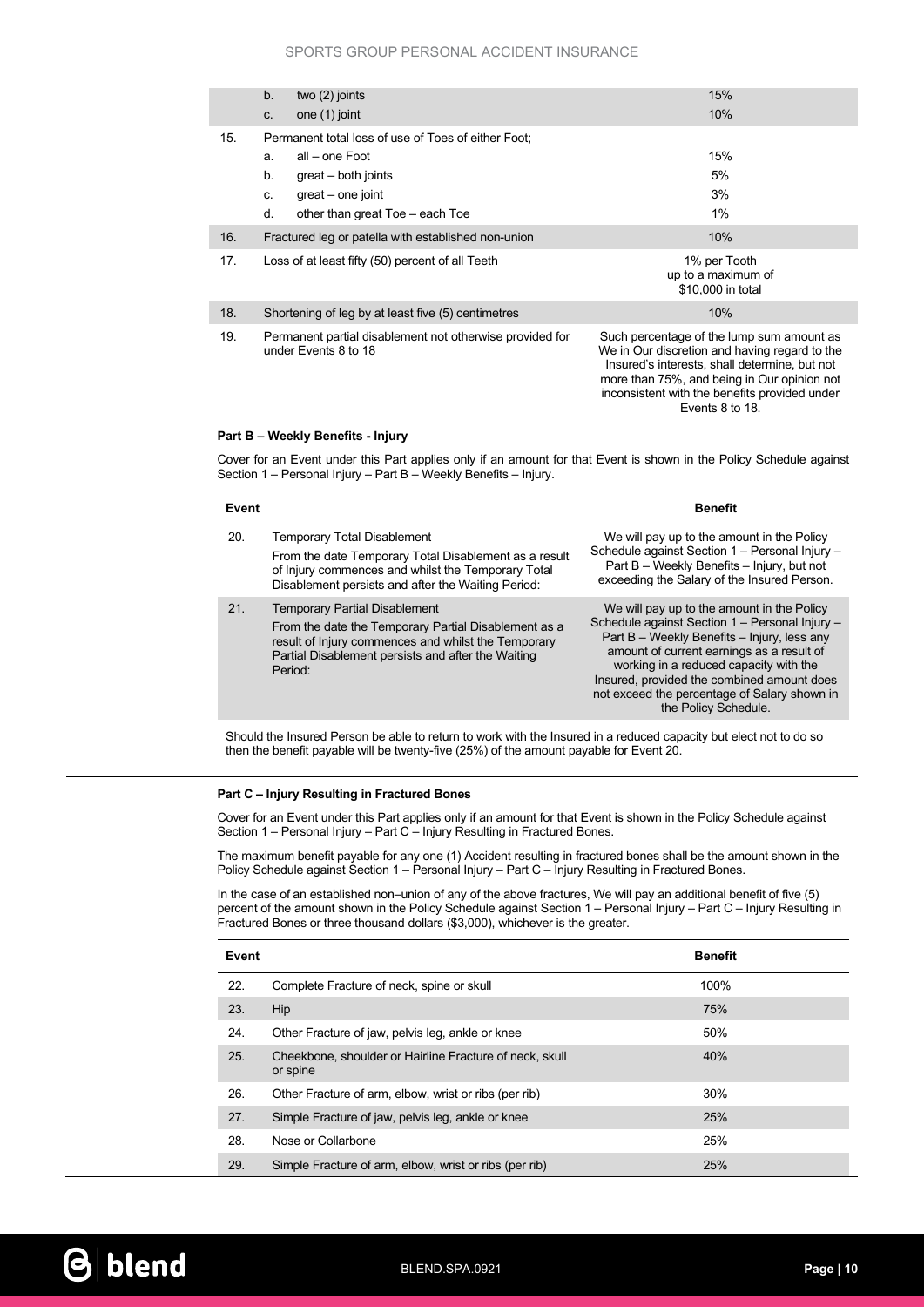### SPORTS GROUP PERSONAL ACCIDENT INSURANCE

|     | b <sub>1</sub><br>two (2) joints                                                 | 15%                                                                                                                                                                                                                                                           |
|-----|----------------------------------------------------------------------------------|---------------------------------------------------------------------------------------------------------------------------------------------------------------------------------------------------------------------------------------------------------------|
|     | one (1) joint<br>C.                                                              | 10%                                                                                                                                                                                                                                                           |
| 15. | Permanent total loss of use of Toes of either Foot:                              |                                                                                                                                                                                                                                                               |
|     | all - one Foot<br>a.                                                             | 15%                                                                                                                                                                                                                                                           |
|     | b.<br>$great - both joints$                                                      | 5%                                                                                                                                                                                                                                                            |
|     | great - one joint<br>C.                                                          | 3%                                                                                                                                                                                                                                                            |
|     | d.<br>other than great Toe - each Toe                                            | $1\%$                                                                                                                                                                                                                                                         |
| 16. | Fractured leg or patella with established non-union                              | 10%                                                                                                                                                                                                                                                           |
| 17. | Loss of at least fifty (50) percent of all Teeth                                 | 1% per Tooth<br>up to a maximum of<br>\$10,000 in total                                                                                                                                                                                                       |
| 18. | Shortening of leg by at least five (5) centimetres                               | 10%                                                                                                                                                                                                                                                           |
| 19. | Permanent partial disablement not otherwise provided for<br>under Events 8 to 18 | Such percentage of the lump sum amount as<br>We in Our discretion and having regard to the<br>Insured's interests, shall determine, but not<br>more than 75%, and being in Our opinion not<br>inconsistent with the benefits provided under<br>Fyents 8 to 18 |

### Part B – Weekly Benefits - Injury

Cover for an Event under this Part applies only if an amount for that Event is shown in the Policy Schedule against Section 1 – Personal Injury – Part B – Weekly Benefits – Injury.

| Event |                                                                                                                                                                                                               | <b>Benefit</b>                                                                                                                                                                                                                                                                                                                                           |
|-------|---------------------------------------------------------------------------------------------------------------------------------------------------------------------------------------------------------------|----------------------------------------------------------------------------------------------------------------------------------------------------------------------------------------------------------------------------------------------------------------------------------------------------------------------------------------------------------|
| 20.   | Temporary Total Disablement<br>From the date Temporary Total Disablement as a result<br>of Injury commences and whilst the Temporary Total<br>Disablement persists and after the Waiting Period:              | We will pay up to the amount in the Policy<br>Schedule against Section 1 - Personal Injury -<br>Part B - Weekly Benefits - Injury, but not<br>exceeding the Salary of the Insured Person.                                                                                                                                                                |
| 21.   | Temporary Partial Disablement<br>From the date the Temporary Partial Disablement as a<br>result of Injury commences and whilst the Temporary<br>Partial Disablement persists and after the Waiting<br>Period: | We will pay up to the amount in the Policy<br>Schedule against Section 1 - Personal Injury -<br>Part B - Weekly Benefits - Injury, less any<br>amount of current earnings as a result of<br>working in a reduced capacity with the<br>Insured, provided the combined amount does<br>not exceed the percentage of Salary shown in<br>the Policy Schedule. |
|       |                                                                                                                                                                                                               |                                                                                                                                                                                                                                                                                                                                                          |

Should the Insured Person be able to return to work with the Insured in a reduced capacity but elect not to do so then the benefit payable will be twenty-five (25%) of the amount payable for Event 20.

#### Part C – Injury Resulting in Fractured Bones

Cover for an Event under this Part applies only if an amount for that Event is shown in the Policy Schedule against Section 1 – Personal Injury – Part C – Injury Resulting in Fractured Bones.

The maximum benefit payable for any one (1) Accident resulting in fractured bones shall be the amount shown in the Policy Schedule against Section 1 – Personal Injury – Part C – Injury Resulting in Fractured Bones.

In the case of an established non–union of any of the above fractures, We will pay an additional benefit of five (5) percent of the amount shown in the Policy Schedule against Section 1 – Personal Injury – Part C – Injury Resulting in Fractured Bones or three thousand dollars (\$3,000), whichever is the greater.

| Event |                                                                     | <b>Benefit</b> |
|-------|---------------------------------------------------------------------|----------------|
| 22.   | Complete Fracture of neck, spine or skull                           | 100%           |
| 23.   | Hip                                                                 | 75%            |
| 24.   | Other Fracture of jaw, pelvis leg, ankle or knee                    | 50%            |
| 25.   | Cheekbone, shoulder or Hairline Fracture of neck, skull<br>or spine | 40%            |
| 26.   | Other Fracture of arm, elbow, wrist or ribs (per rib)               | 30%            |
| 27.   | Simple Fracture of jaw, pelvis leg, ankle or knee                   | 25%            |
| 28.   | Nose or Collarbone                                                  | 25%            |
| 29.   | Simple Fracture of arm, elbow, wrist or ribs (per rib)              | 25%            |

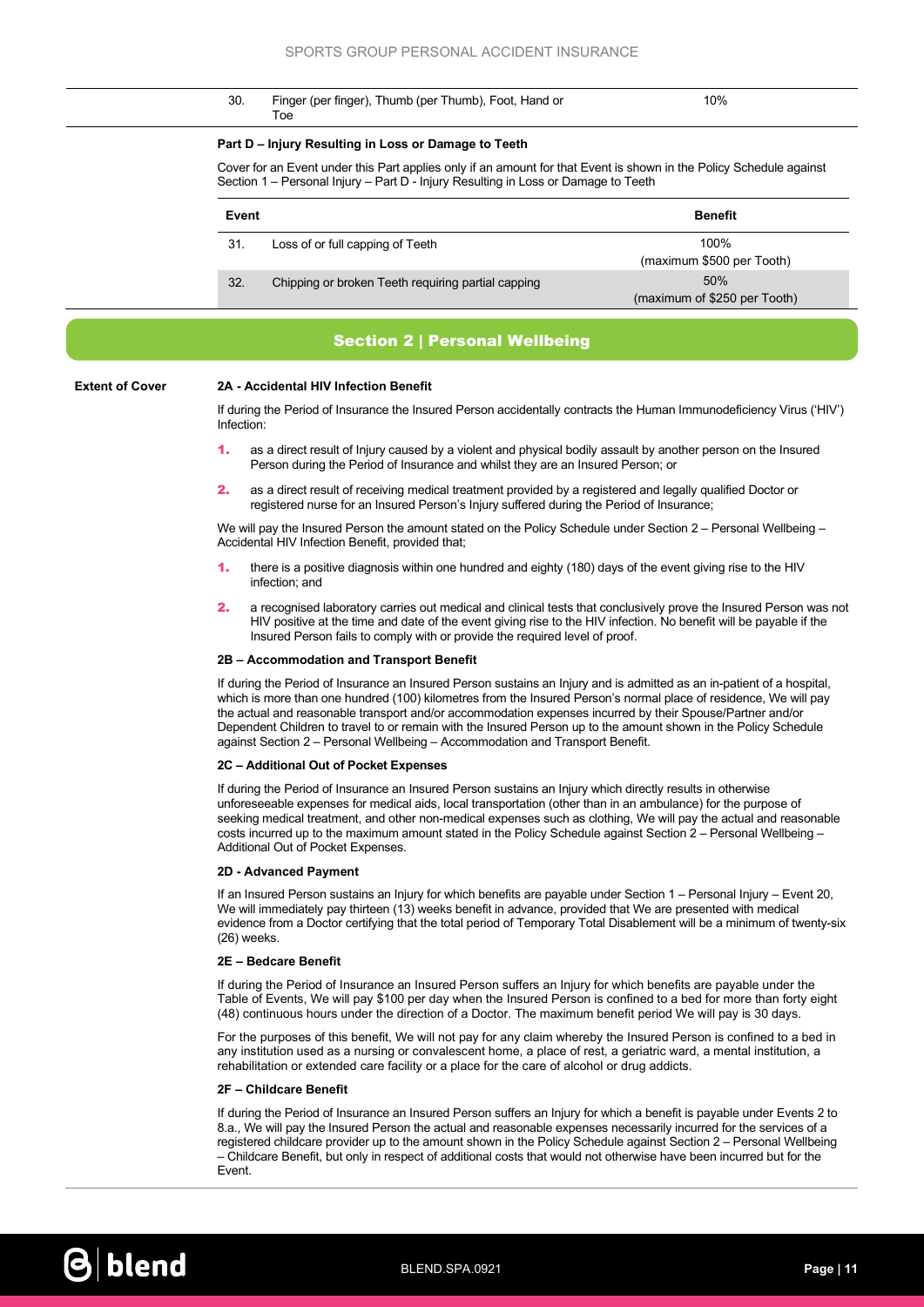| 30. | Finger (per finger), Thumb (per Thumb), Foot, Hand or<br>Тое                                                    | 10% |
|-----|-----------------------------------------------------------------------------------------------------------------|-----|
|     | Part D – Injury Resulting in Loss or Damage to Teeth                                                            |     |
|     | Oncendance Frankruphe dels Deutschlas subridien annount fandezt Franklin beginn in den Dellar Oskanbrig wurdent |     |

Cover for an Event under this Part applies only if an amount for that Event is shown in the Policy Schedule against Section 1 – Personal Injury – Part D - Injury Resulting in Loss or Damage to Teeth

| Event |                                                    | <b>Benefit</b>                      |
|-------|----------------------------------------------------|-------------------------------------|
| 31.   | Loss of or full capping of Teeth                   | 100%<br>(maximum \$500 per Tooth)   |
| 32.   | Chipping or broken Teeth requiring partial capping | 50%<br>(maximum of \$250 per Tooth) |

# Section 2 | Personal Wellbeing

#### Extent of Cover 2A - Accidental HIV Infection Benefit

If during the Period of Insurance the Insured Person accidentally contracts the Human Immunodeficiency Virus ('HIV') Infection:

- 1. as a direct result of Injury caused by a violent and physical bodily assault by another person on the Insured Person during the Period of Insurance and whilst they are an Insured Person; or
- 2. as a direct result of receiving medical treatment provided by a registered and legally qualified Doctor or registered nurse for an Insured Person's Injury suffered during the Period of Insurance;

We will pay the Insured Person the amount stated on the Policy Schedule under Section 2 – Personal Wellbeing – Accidental HIV Infection Benefit, provided that;

- 1. there is a positive diagnosis within one hundred and eighty (180) days of the event giving rise to the HIV infection; and
- 2. a recognised laboratory carries out medical and clinical tests that conclusively prove the Insured Person was not HIV positive at the time and date of the event giving rise to the HIV infection. No benefit will be payable if the Insured Person fails to comply with or provide the required level of proof.

#### 2B – Accommodation and Transport Benefit

If during the Period of Insurance an Insured Person sustains an Injury and is admitted as an in-patient of a hospital, which is more than one hundred (100) kilometres from the Insured Person's normal place of residence, We will pay the actual and reasonable transport and/or accommodation expenses incurred by their Spouse/Partner and/or Dependent Children to travel to or remain with the Insured Person up to the amount shown in the Policy Schedule against Section 2 – Personal Wellbeing – Accommodation and Transport Benefit.

#### 2C – Additional Out of Pocket Expenses

If during the Period of Insurance an Insured Person sustains an Injury which directly results in otherwise unforeseeable expenses for medical aids, local transportation (other than in an ambulance) for the purpose of seeking medical treatment, and other non-medical expenses such as clothing, We will pay the actual and reasonable costs incurred up to the maximum amount stated in the Policy Schedule against Section 2 – Personal Wellbeing – Additional Out of Pocket Expenses.

#### 2D - Advanced Payment

If an Insured Person sustains an Injury for which benefits are payable under Section 1 – Personal Injury – Event 20, We will immediately pay thirteen (13) weeks benefit in advance, provided that We are presented with medical evidence from a Doctor certifying that the total period of Temporary Total Disablement will be a minimum of twenty-six (26) weeks.

#### 2E – Bedcare Benefit

If during the Period of Insurance an Insured Person suffers an Injury for which benefits are payable under the Table of Events, We will pay \$100 per day when the Insured Person is confined to a bed for more than forty eight (48) continuous hours under the direction of a Doctor. The maximum benefit period We will pay is 30 days.

For the purposes of this benefit, We will not pay for any claim whereby the Insured Person is confined to a bed in any institution used as a nursing or convalescent home, a place of rest, a geriatric ward, a mental institution, a rehabilitation or extended care facility or a place for the care of alcohol or drug addicts.

#### 2F – Childcare Benefit

If during the Period of Insurance an Insured Person suffers an Injury for which a benefit is payable under Events 2 to 8.a., We will pay the Insured Person the actual and reasonable expenses necessarily incurred for the services of a registered childcare provider up to the amount shown in the Policy Schedule against Section 2 – Personal Wellbeing – Childcare Benefit, but only in respect of additional costs that would not otherwise have been incurred but for the Event.

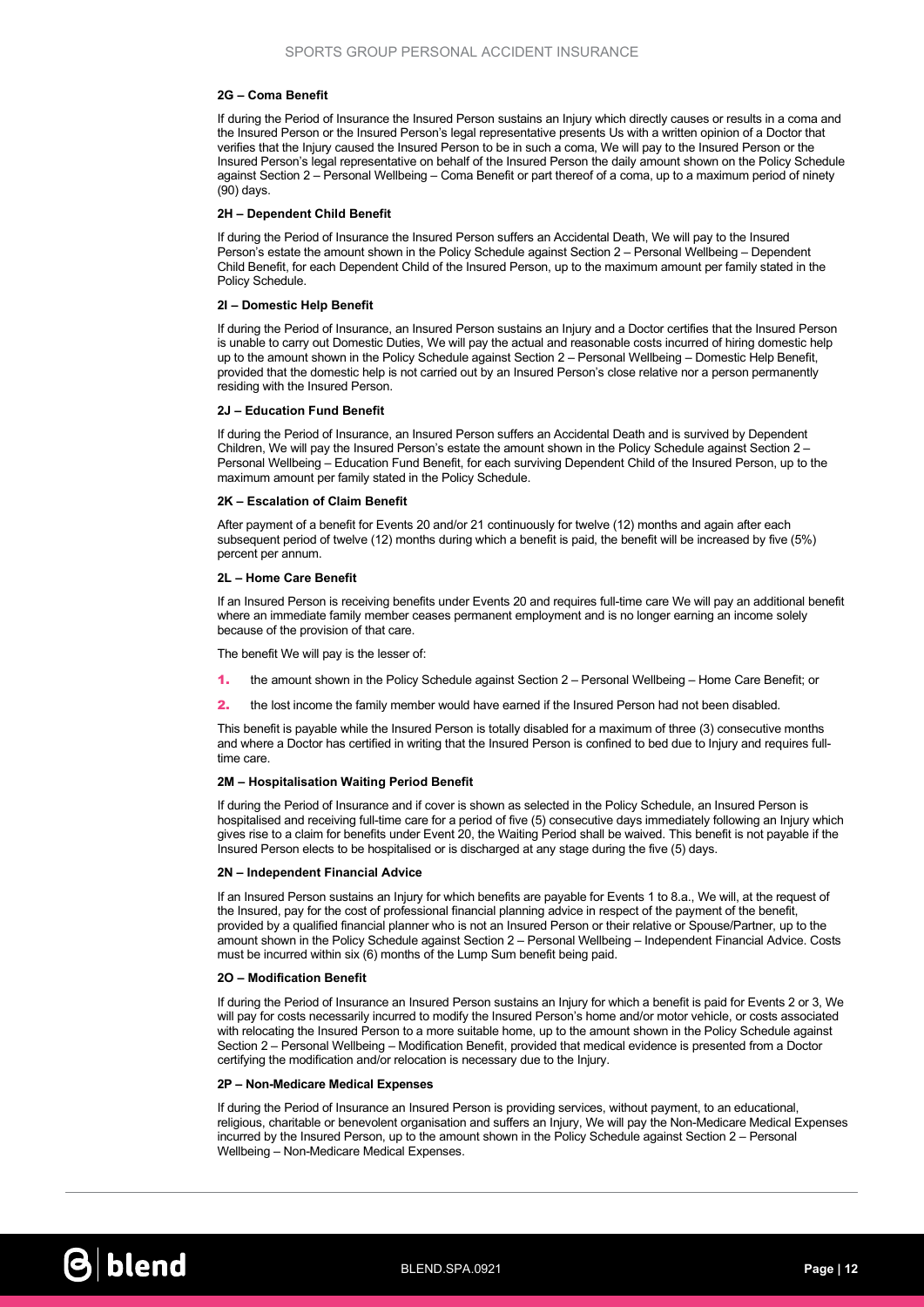#### 2G – Coma Benefit

If during the Period of Insurance the Insured Person sustains an Injury which directly causes or results in a coma and the Insured Person or the Insured Person's legal representative presents Us with a written opinion of a Doctor that verifies that the Injury caused the Insured Person to be in such a coma, We will pay to the Insured Person or the Insured Person's legal representative on behalf of the Insured Person the daily amount shown on the Policy Schedule against Section 2 – Personal Wellbeing – Coma Benefit or part thereof of a coma, up to a maximum period of ninety (90) days.

#### 2H – Dependent Child Benefit

If during the Period of Insurance the Insured Person suffers an Accidental Death, We will pay to the Insured Person's estate the amount shown in the Policy Schedule against Section 2 – Personal Wellbeing – Dependent Child Benefit, for each Dependent Child of the Insured Person, up to the maximum amount per family stated in the Policy Schedule.

#### 2I – Domestic Help Benefit

If during the Period of Insurance, an Insured Person sustains an Injury and a Doctor certifies that the Insured Person is unable to carry out Domestic Duties, We will pay the actual and reasonable costs incurred of hiring domestic help up to the amount shown in the Policy Schedule against Section 2 – Personal Wellbeing – Domestic Help Benefit, provided that the domestic help is not carried out by an Insured Person's close relative nor a person permanently residing with the Insured Person.

#### 2J – Education Fund Benefit

If during the Period of Insurance, an Insured Person suffers an Accidental Death and is survived by Dependent Children, We will pay the Insured Person's estate the amount shown in the Policy Schedule against Section 2 – Personal Wellbeing – Education Fund Benefit, for each surviving Dependent Child of the Insured Person, up to the maximum amount per family stated in the Policy Schedule.

#### 2K – Escalation of Claim Benefit

After payment of a benefit for Events 20 and/or 21 continuously for twelve (12) months and again after each subsequent period of twelve (12) months during which a benefit is paid, the benefit will be increased by five (5%) percent per annum.

#### 2L – Home Care Benefit

If an Insured Person is receiving benefits under Events 20 and requires full-time care We will pay an additional benefit where an immediate family member ceases permanent employment and is no longer earning an income solely because of the provision of that care.

The benefit We will pay is the lesser of:

- 1. the amount shown in the Policy Schedule against Section 2 Personal Wellbeing Home Care Benefit; or
- 2. the lost income the family member would have earned if the Insured Person had not been disabled.

This benefit is payable while the Insured Person is totally disabled for a maximum of three (3) consecutive months and where a Doctor has certified in writing that the Insured Person is confined to bed due to Injury and requires fulltime care.

#### 2M – Hospitalisation Waiting Period Benefit

If during the Period of Insurance and if cover is shown as selected in the Policy Schedule, an Insured Person is hospitalised and receiving full-time care for a period of five (5) consecutive days immediately following an Injury which gives rise to a claim for benefits under Event 20, the Waiting Period shall be waived. This benefit is not payable if the Insured Person elects to be hospitalised or is discharged at any stage during the five (5) days.

#### 2N – Independent Financial Advice

If an Insured Person sustains an Injury for which benefits are payable for Events 1 to 8.a., We will, at the request of the Insured, pay for the cost of professional financial planning advice in respect of the payment of the benefit, provided by a qualified financial planner who is not an Insured Person or their relative or Spouse/Partner, up to the amount shown in the Policy Schedule against Section 2 – Personal Wellbeing – Independent Financial Advice. Costs must be incurred within six (6) months of the Lump Sum benefit being paid.

#### 2O – Modification Benefit

If during the Period of Insurance an Insured Person sustains an Injury for which a benefit is paid for Events 2 or 3, We will pay for costs necessarily incurred to modify the Insured Person's home and/or motor vehicle, or costs associated with relocating the Insured Person to a more suitable home, up to the amount shown in the Policy Schedule against Section 2 – Personal Wellbeing – Modification Benefit, provided that medical evidence is presented from a Doctor certifying the modification and/or relocation is necessary due to the Injury.

#### 2P – Non-Medicare Medical Expenses

If during the Period of Insurance an Insured Person is providing services, without payment, to an educational, religious, charitable or benevolent organisation and suffers an Injury, We will pay the Non-Medicare Medical Expenses incurred by the Insured Person, up to the amount shown in the Policy Schedule against Section 2 – Personal Wellbeing – Non-Medicare Medical Expenses.

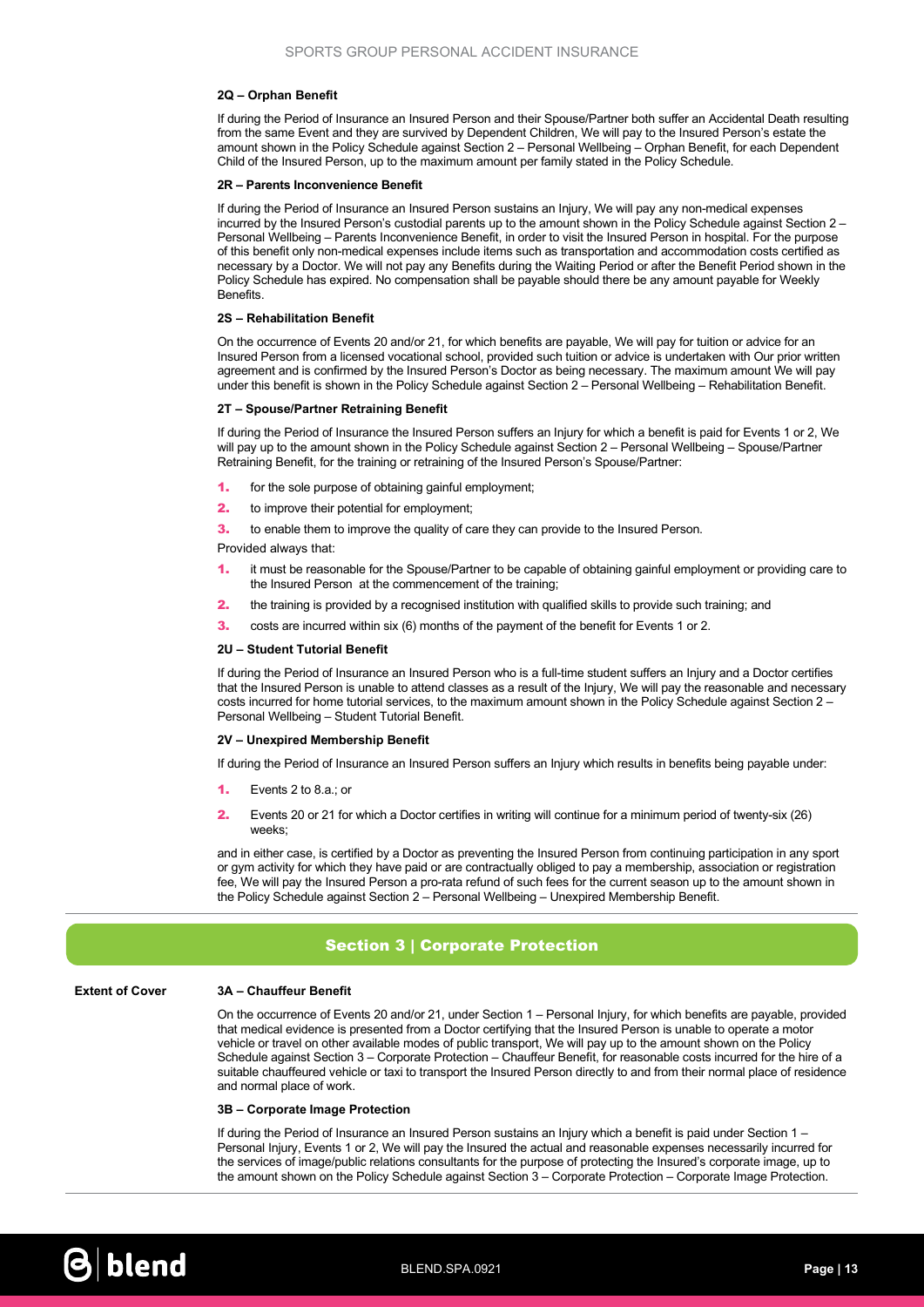#### 2Q – Orphan Benefit

If during the Period of Insurance an Insured Person and their Spouse/Partner both suffer an Accidental Death resulting from the same Event and they are survived by Dependent Children, We will pay to the Insured Person's estate the amount shown in the Policy Schedule against Section 2 – Personal Wellbeing – Orphan Benefit, for each Dependent Child of the Insured Person, up to the maximum amount per family stated in the Policy Schedule.

#### 2R – Parents Inconvenience Benefit

If during the Period of Insurance an Insured Person sustains an Injury, We will pay any non-medical expenses incurred by the Insured Person's custodial parents up to the amount shown in the Policy Schedule against Section 2 – Personal Wellbeing – Parents Inconvenience Benefit, in order to visit the Insured Person in hospital. For the purpose of this benefit only non-medical expenses include items such as transportation and accommodation costs certified as necessary by a Doctor. We will not pay any Benefits during the Waiting Period or after the Benefit Period shown in the Policy Schedule has expired. No compensation shall be payable should there be any amount payable for Weekly Benefits.

#### 2S – Rehabilitation Benefit

On the occurrence of Events 20 and/or 21, for which benefits are payable, We will pay for tuition or advice for an Insured Person from a licensed vocational school, provided such tuition or advice is undertaken with Our prior written agreement and is confirmed by the Insured Person's Doctor as being necessary. The maximum amount We will pay under this benefit is shown in the Policy Schedule against Section 2 – Personal Wellbeing – Rehabilitation Benefit.

#### 2T – Spouse/Partner Retraining Benefit

If during the Period of Insurance the Insured Person suffers an Injury for which a benefit is paid for Events 1 or 2, We will pay up to the amount shown in the Policy Schedule against Section 2 – Personal Wellbeing – Spouse/Partner Retraining Benefit, for the training or retraining of the Insured Person's Spouse/Partner:

- 1. for the sole purpose of obtaining gainful employment;
- **2.** to improve their potential for employment;
- **3.** to enable them to improve the quality of care they can provide to the Insured Person.

Provided always that:

- 1. it must be reasonable for the Spouse/Partner to be capable of obtaining gainful employment or providing care to the Insured Person at the commencement of the training;
- 2. the training is provided by a recognised institution with qualified skills to provide such training; and
- 3. costs are incurred within six (6) months of the payment of the benefit for Events 1 or 2.

#### 2U – Student Tutorial Benefit

If during the Period of Insurance an Insured Person who is a full-time student suffers an Injury and a Doctor certifies that the Insured Person is unable to attend classes as a result of the Injury, We will pay the reasonable and necessary costs incurred for home tutorial services, to the maximum amount shown in the Policy Schedule against Section 2 – Personal Wellbeing – Student Tutorial Benefit.

#### 2V – Unexpired Membership Benefit

If during the Period of Insurance an Insured Person suffers an Injury which results in benefits being payable under:

- 1. Fyents  $2 \text{ to } 8 \text{ a} \cdot \text{ or}$
- 2. Events 20 or 21 for which a Doctor certifies in writing will continue for a minimum period of twenty-six (26) weeks;

and in either case, is certified by a Doctor as preventing the Insured Person from continuing participation in any sport or gym activity for which they have paid or are contractually obliged to pay a membership, association or registration fee, We will pay the Insured Person a pro-rata refund of such fees for the current season up to the amount shown in the Policy Schedule against Section 2 – Personal Wellbeing – Unexpired Membership Benefit.

# Section 3 | Corporate Protection

#### Extent of Cover 3A – Chauffeur Benefit

On the occurrence of Events 20 and/or 21, under Section 1 – Personal Injury, for which benefits are payable, provided that medical evidence is presented from a Doctor certifying that the Insured Person is unable to operate a motor vehicle or travel on other available modes of public transport, We will pay up to the amount shown on the Policy Schedule against Section 3 – Corporate Protection – Chauffeur Benefit, for reasonable costs incurred for the hire of a suitable chauffeured vehicle or taxi to transport the Insured Person directly to and from their normal place of residence and normal place of work.

#### 3B – Corporate Image Protection

If during the Period of Insurance an Insured Person sustains an Injury which a benefit is paid under Section 1 – Personal Injury, Events 1 or 2, We will pay the Insured the actual and reasonable expenses necessarily incurred for the services of image/public relations consultants for the purpose of protecting the Insured's corporate image, up to the amount shown on the Policy Schedule against Section 3 – Corporate Protection – Corporate Image Protection.

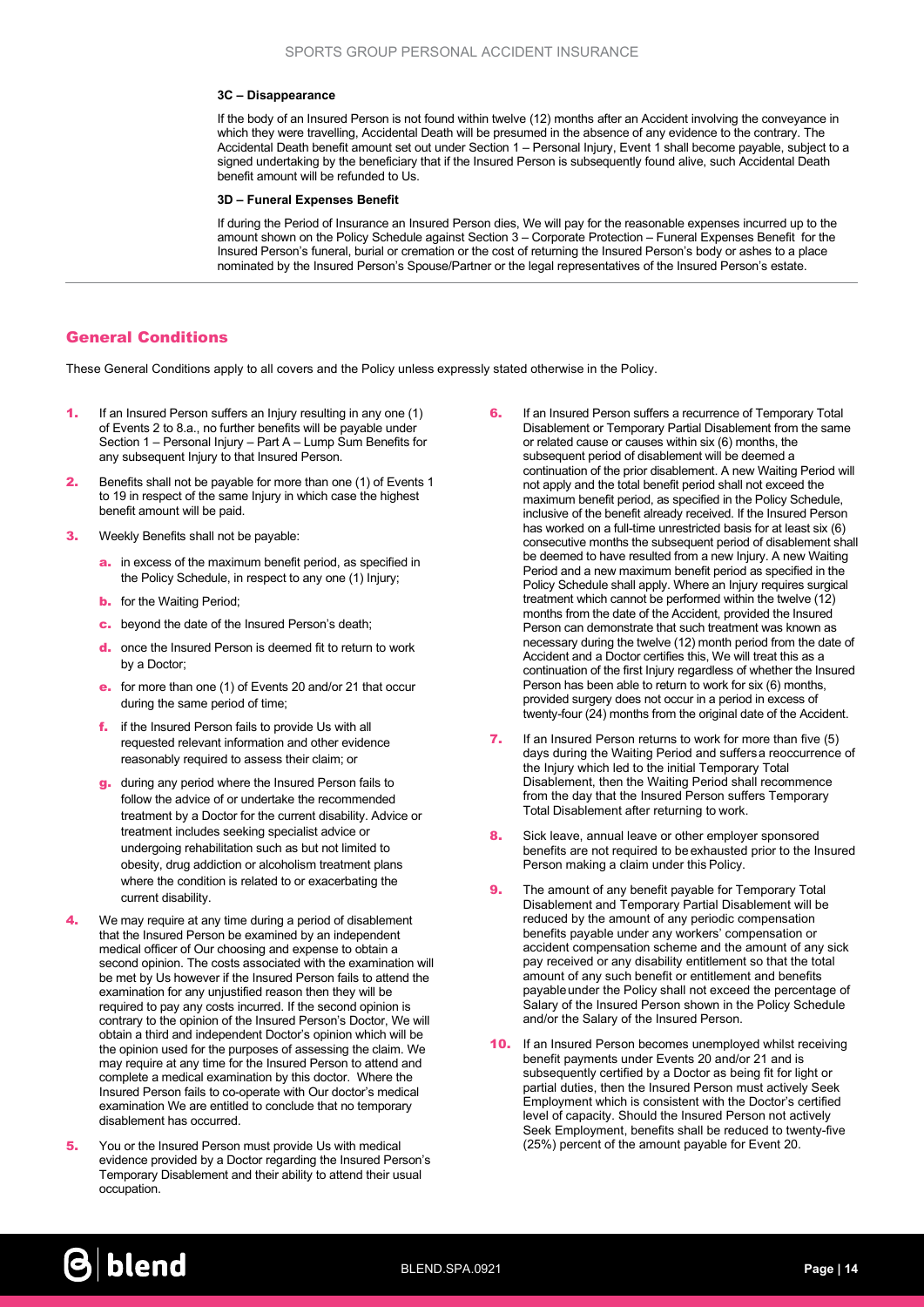#### 3C – Disappearance

If the body of an Insured Person is not found within twelve (12) months after an Accident involving the conveyance in which they were travelling, Accidental Death will be presumed in the absence of any evidence to the contrary. The Accidental Death benefit amount set out under Section 1 – Personal Injury, Event 1 shall become payable, subject to a signed undertaking by the beneficiary that if the Insured Person is subsequently found alive, such Accidental Death benefit amount will be refunded to Us.

#### 3D – Funeral Expenses Benefit

If during the Period of Insurance an Insured Person dies, We will pay for the reasonable expenses incurred up to the amount shown on the Policy Schedule against Section 3 – Corporate Protection – Funeral Expenses Benefit for the Insured Person's funeral, burial or cremation or the cost of returning the Insured Person's body or ashes to a place nominated by the Insured Person's Spouse/Partner or the legal representatives of the Insured Person's estate.

# General Conditions

These General Conditions apply to all covers and the Policy unless expressly stated otherwise in the Policy.

- If an Insured Person suffers an Injury resulting in any one (1) of Events 2 to 8.a., no further benefits will be payable under Section 1 – Personal Injury – Part A – Lump Sum Benefits for any subsequent Injury to that Insured Person.
- **2.** Benefits shall not be payable for more than one (1) of Events 1 to 19 in respect of the same Injury in which case the highest benefit amount will be paid.
- 3. Weekly Benefits shall not be payable:
	- a. in excess of the maximum benefit period, as specified in the Policy Schedule, in respect to any one (1) Injury;
	- **b.** for the Waiting Period;
	- c. beyond the date of the Insured Person's death;
	- d. once the Insured Person is deemed fit to return to work by a Doctor;
	- e. for more than one (1) of Events 20 and/or 21 that occur during the same period of time;
	- f. if the Insured Person fails to provide Us with all requested relevant information and other evidence reasonably required to assess their claim; or
	- g. during any period where the Insured Person fails to follow the advice of or undertake the recommended treatment by a Doctor for the current disability. Advice or treatment includes seeking specialist advice or undergoing rehabilitation such as but not limited to obesity, drug addiction or alcoholism treatment plans where the condition is related to or exacerbating the current disability.
- 4. We may require at any time during a period of disablement that the Insured Person be examined by an independent medical officer of Our choosing and expense to obtain a second opinion. The costs associated with the examination will be met by Us however if the Insured Person fails to attend the examination for any unjustified reason then they will be required to pay any costs incurred. If the second opinion is contrary to the opinion of the Insured Person's Doctor, We will obtain a third and independent Doctor's opinion which will be the opinion used for the purposes of assessing the claim. We may require at any time for the Insured Person to attend and complete a medical examination by this doctor. Where the Insured Person fails to co-operate with Our doctor's medical examination We are entitled to conclude that no temporary disablement has occurred.
- **5.** You or the Insured Person must provide Us with medical evidence provided by a Doctor regarding the Insured Person's Temporary Disablement and their ability to attend their usual occupation.
- **6.** If an Insured Person suffers a recurrence of Temporary Total Disablement or Temporary Partial Disablement from the same or related cause or causes within six (6) months, the subsequent period of disablement will be deemed a continuation of the prior disablement. A new Waiting Period will not apply and the total benefit period shall not exceed the maximum benefit period, as specified in the Policy Schedule, inclusive of the benefit already received. If the Insured Person has worked on a full-time unrestricted basis for at least six (6) consecutive months the subsequent period of disablement shall be deemed to have resulted from a new Injury. A new Waiting Period and a new maximum benefit period as specified in the Policy Schedule shall apply. Where an Injury requires surgical treatment which cannot be performed within the twelve (12) months from the date of the Accident, provided the Insured Person can demonstrate that such treatment was known as necessary during the twelve (12) month period from the date of Accident and a Doctor certifies this, We will treat this as a continuation of the first Injury regardless of whether the Insured Person has been able to return to work for six (6) months, provided surgery does not occur in a period in excess of twenty-four (24) months from the original date of the Accident.
- 7. If an Insured Person returns to work for more than five (5) days during the Waiting Period and suffers a reoccurrence of the Injury which led to the initial Temporary Total Disablement, then the Waiting Period shall recommence from the day that the Insured Person suffers Temporary Total Disablement after returning to work.
- 8. Sick leave, annual leave or other employer sponsored benefits are not required to be exhausted prior to the Insured Person making a claim under this Policy.
- **9.** The amount of any benefit payable for Temporary Total Disablement and Temporary Partial Disablement will be reduced by the amount of any periodic compensation benefits payable under any workers' compensation or accident compensation scheme and the amount of any sick pay received or any disability entitlement so that the total amount of any such benefit or entitlement and benefits payable under the Policy shall not exceed the percentage of Salary of the Insured Person shown in the Policy Schedule and/or the Salary of the Insured Person.
- **10.** If an Insured Person becomes unemployed whilst receiving benefit payments under Events 20 and/or 21 and is subsequently certified by a Doctor as being fit for light or partial duties, then the Insured Person must actively Seek Employment which is consistent with the Doctor's certified level of capacity. Should the Insured Person not actively Seek Employment, benefits shall be reduced to twenty-five (25%) percent of the amount payable for Event 20.

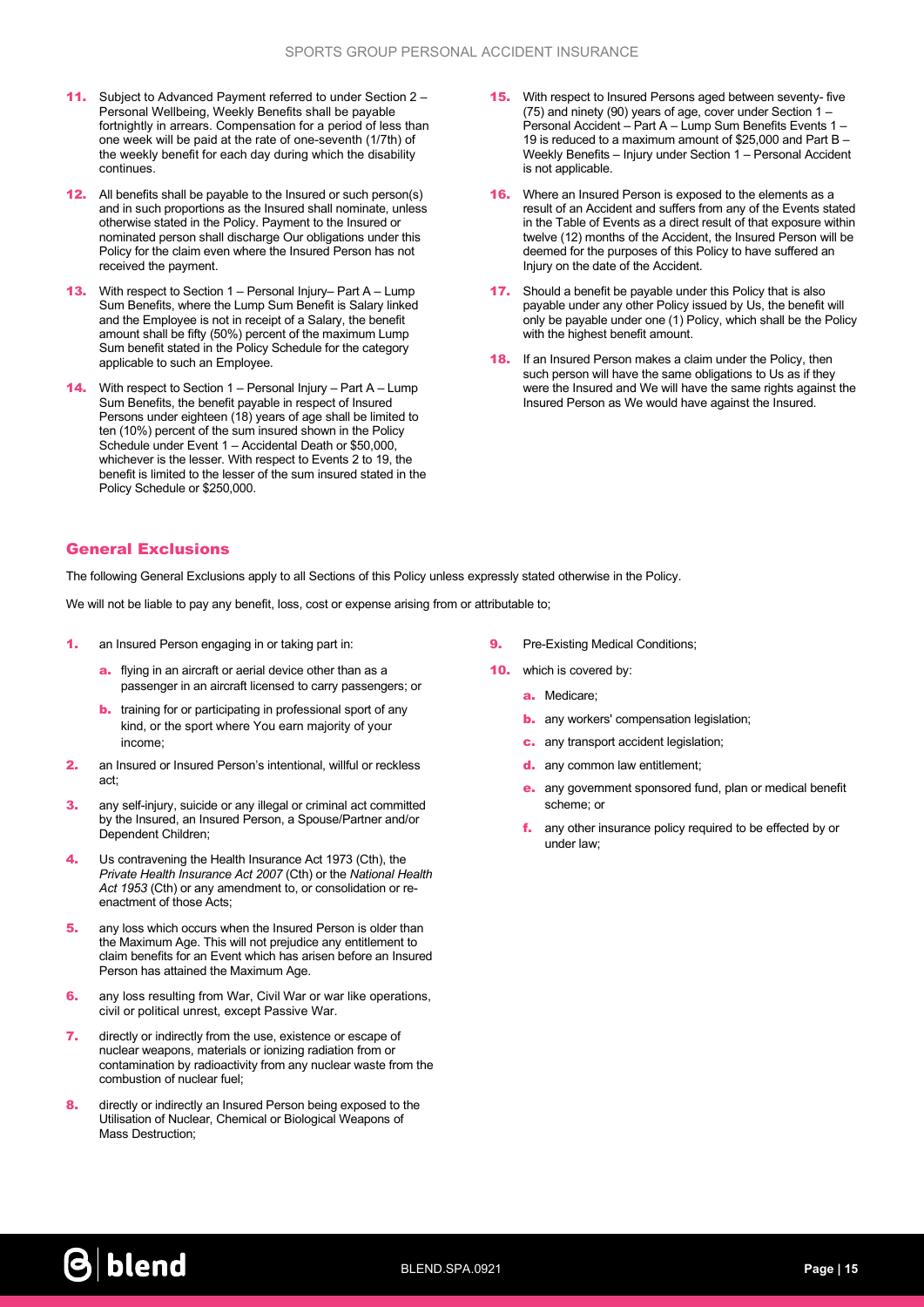- 11. Subject to Advanced Payment referred to under Section 2 Personal Wellbeing, Weekly Benefits shall be payable fortnightly in arrears. Compensation for a period of less than one week will be paid at the rate of one-seventh (1/7th) of the weekly benefit for each day during which the disability continues.
- **12.** All benefits shall be payable to the Insured or such person(s) and in such proportions as the Insured shall nominate, unless otherwise stated in the Policy. Payment to the Insured or nominated person shall discharge Our obligations under this Policy for the claim even where the Insured Person has not received the payment.
- **13.** With respect to Section  $1 -$  Personal Injury– Part A Lump Sum Benefits, where the Lump Sum Benefit is Salary linked and the Employee is not in receipt of a Salary, the benefit amount shall be fifty (50%) percent of the maximum Lump Sum benefit stated in the Policy Schedule for the category applicable to such an Employee.
- 14. With respect to Section 1 Personal Injury Part A Lump Sum Benefits, the benefit payable in respect of Insured Persons under eighteen (18) years of age shall be limited to ten (10%) percent of the sum insured shown in the Policy Schedule under Event 1 – Accidental Death or \$50,000, whichever is the lesser. With respect to Events 2 to 19, the benefit is limited to the lesser of the sum insured stated in the Policy Schedule or \$250,000.
- **15.** With respect to Insured Persons aged between seventy- five (75) and ninety (90) years of age, cover under Section 1 – Personal Accident – Part A – Lump Sum Benefits Events 1 – 19 is reduced to a maximum amount of \$25,000 and Part B – Weekly Benefits – Injury under Section 1 – Personal Accident is not applicable.
- **16.** Where an Insured Person is exposed to the elements as a result of an Accident and suffers from any of the Events stated in the Table of Events as a direct result of that exposure within twelve (12) months of the Accident, the Insured Person will be deemed for the purposes of this Policy to have suffered an Injury on the date of the Accident.
- **17.** Should a benefit be payable under this Policy that is also payable under any other Policy issued by Us, the benefit will only be payable under one (1) Policy, which shall be the Policy with the highest benefit amount.
- **18.** If an Insured Person makes a claim under the Policy, then such person will have the same obligations to Us as if they were the Insured and We will have the same rights against the Insured Person as We would have against the Insured.

# General Exclusions

The following General Exclusions apply to all Sections of this Policy unless expressly stated otherwise in the Policy.

We will not be liable to pay any benefit, loss, cost or expense arising from or attributable to;

- 1. an Insured Person engaging in or taking part in:
	- a. flying in an aircraft or aerial device other than as a passenger in an aircraft licensed to carry passengers; or
	- **b.** training for or participating in professional sport of any kind, or the sport where You earn majority of your income;
- 2. an Insured or Insured Person's intentional, willful or reckless act;
- **3.** any self-injury, suicide or any illegal or criminal act committed by the Insured, an Insured Person, a Spouse/Partner and/or Dependent Children;
- 4. Us contravening the Health Insurance Act 1973 (Cth), the Private Health Insurance Act 2007 (Cth) or the National Health Act 1953 (Cth) or any amendment to, or consolidation or reenactment of those Acts;
- **5.** any loss which occurs when the Insured Person is older than the Maximum Age. This will not prejudice any entitlement to claim benefits for an Event which has arisen before an Insured Person has attained the Maximum Age.
- **6.** any loss resulting from War, Civil War or war like operations, civil or political unrest, except Passive War.
- 7. directly or indirectly from the use, existence or escape of nuclear weapons, materials or ionizing radiation from or contamination by radioactivity from any nuclear waste from the combustion of nuclear fuel;
- 8. directly or indirectly an Insured Person being exposed to the Utilisation of Nuclear, Chemical or Biological Weapons of Mass Destruction;
- **9.** Pre-Existing Medical Conditions;
- **10.** which is covered by:
	- a. Medicare;
	- **b.** any workers' compensation legislation;
	- c. any transport accident legislation;
	- d. any common law entitlement;
	- e. any government sponsored fund, plan or medical benefit scheme; or
	- f. any other insurance policy required to be effected by or under law;

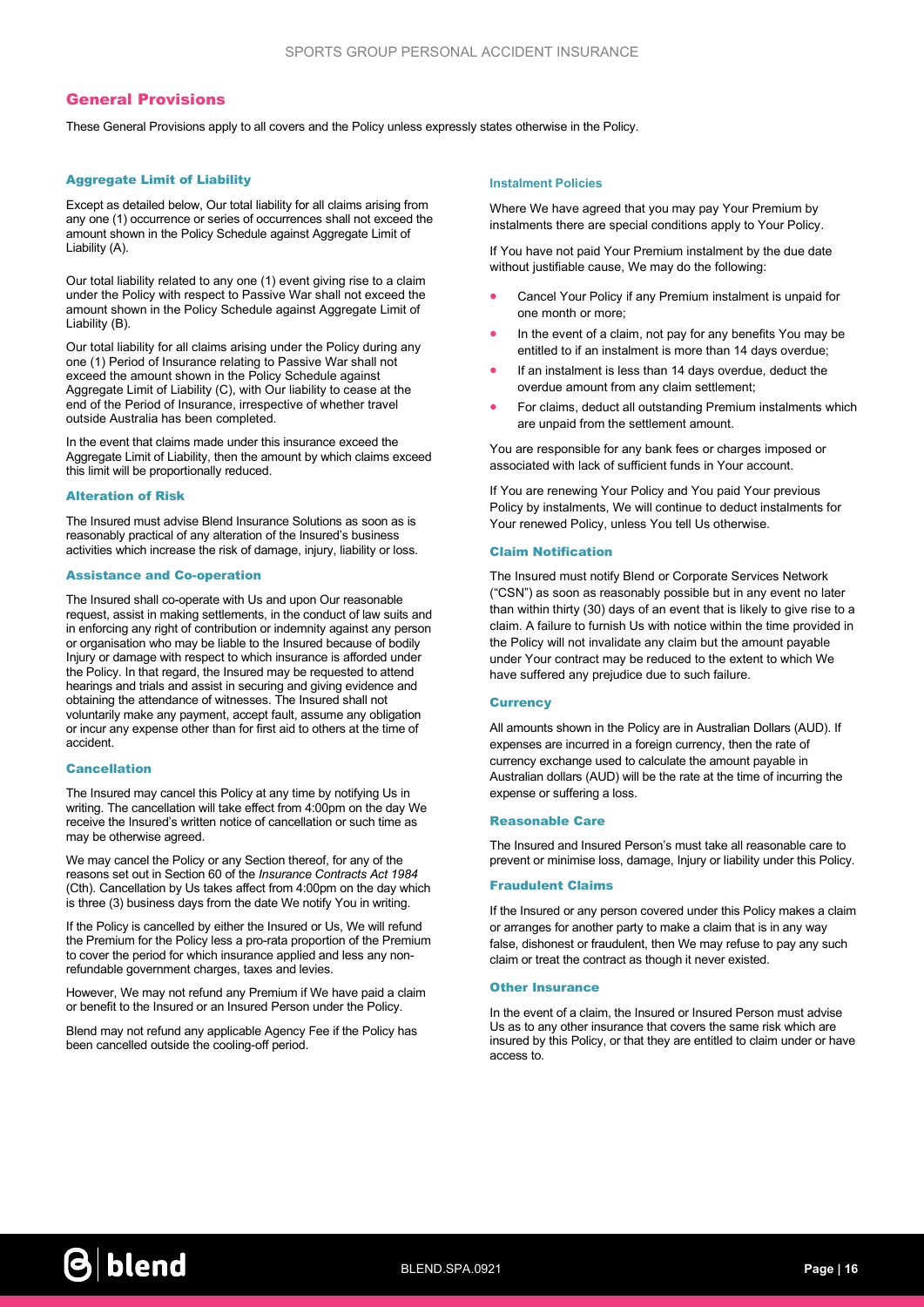# General Provisions

These General Provisions apply to all covers and the Policy unless expressly states otherwise in the Policy.

### Aggregate Limit of Liability

Except as detailed below, Our total liability for all claims arising from any one (1) occurrence or series of occurrences shall not exceed the amount shown in the Policy Schedule against Aggregate Limit of Liability (A).

Our total liability related to any one (1) event giving rise to a claim under the Policy with respect to Passive War shall not exceed the amount shown in the Policy Schedule against Aggregate Limit of Liability (B).

Our total liability for all claims arising under the Policy during any one (1) Period of Insurance relating to Passive War shall not exceed the amount shown in the Policy Schedule against Aggregate Limit of Liability (C), with Our liability to cease at the end of the Period of Insurance, irrespective of whether travel outside Australia has been completed.

In the event that claims made under this insurance exceed the Aggregate Limit of Liability, then the amount by which claims exceed this limit will be proportionally reduced.

#### Alteration of Risk

The Insured must advise Blend Insurance Solutions as soon as is reasonably practical of any alteration of the Insured's business activities which increase the risk of damage, injury, liability or loss.

#### Assistance and Co-operation

The Insured shall co-operate with Us and upon Our reasonable request, assist in making settlements, in the conduct of law suits and in enforcing any right of contribution or indemnity against any person or organisation who may be liable to the Insured because of bodily Injury or damage with respect to which insurance is afforded under the Policy. In that regard, the Insured may be requested to attend hearings and trials and assist in securing and giving evidence and obtaining the attendance of witnesses. The Insured shall not voluntarily make any payment, accept fault, assume any obligation or incur any expense other than for first aid to others at the time of accident.

#### Cancellation

The Insured may cancel this Policy at any time by notifying Us in writing. The cancellation will take effect from 4:00pm on the day We receive the Insured's written notice of cancellation or such time as may be otherwise agreed.

We may cancel the Policy or any Section thereof, for any of the reasons set out in Section 60 of the Insurance Contracts Act 1984 (Cth). Cancellation by Us takes affect from 4:00pm on the day which is three (3) business days from the date We notify You in writing.

If the Policy is cancelled by either the Insured or Us, We will refund the Premium for the Policy less a pro-rata proportion of the Premium to cover the period for which insurance applied and less any nonrefundable government charges, taxes and levies.

However, We may not refund any Premium if We have paid a claim or benefit to the Insured or an Insured Person under the Policy.

Blend may not refund any applicable Agency Fee if the Policy has been cancelled outside the cooling-off period.

#### Instalment Policies

Where We have agreed that you may pay Your Premium by instalments there are special conditions apply to Your Policy.

If You have not paid Your Premium instalment by the due date without justifiable cause, We may do the following:

- Cancel Your Policy if any Premium instalment is unpaid for one month or more;
- In the event of a claim, not pay for any benefits You may be entitled to if an instalment is more than 14 days overdue;
- If an instalment is less than 14 days overdue, deduct the overdue amount from any claim settlement;
- For claims, deduct all outstanding Premium instalments which are unpaid from the settlement amount.

You are responsible for any bank fees or charges imposed or associated with lack of sufficient funds in Your account.

If You are renewing Your Policy and You paid Your previous Policy by instalments, We will continue to deduct instalments for Your renewed Policy, unless You tell Us otherwise.

#### Claim Notification

The Insured must notify Blend or Corporate Services Network ("CSN") as soon as reasonably possible but in any event no later than within thirty (30) days of an event that is likely to give rise to a claim. A failure to furnish Us with notice within the time provided in the Policy will not invalidate any claim but the amount payable under Your contract may be reduced to the extent to which We have suffered any prejudice due to such failure.

### **Currency**

All amounts shown in the Policy are in Australian Dollars (AUD). If expenses are incurred in a foreign currency, then the rate of currency exchange used to calculate the amount payable in Australian dollars (AUD) will be the rate at the time of incurring the expense or suffering a loss.

#### Reasonable Care

The Insured and Insured Person's must take all reasonable care to prevent or minimise loss, damage, Injury or liability under this Policy.

#### Fraudulent Claims

If the Insured or any person covered under this Policy makes a claim or arranges for another party to make a claim that is in any way false, dishonest or fraudulent, then We may refuse to pay any such claim or treat the contract as though it never existed.

#### Other Insurance

In the event of a claim, the Insured or Insured Person must advise Us as to any other insurance that covers the same risk which are insured by this Policy, or that they are entitled to claim under or have access to.